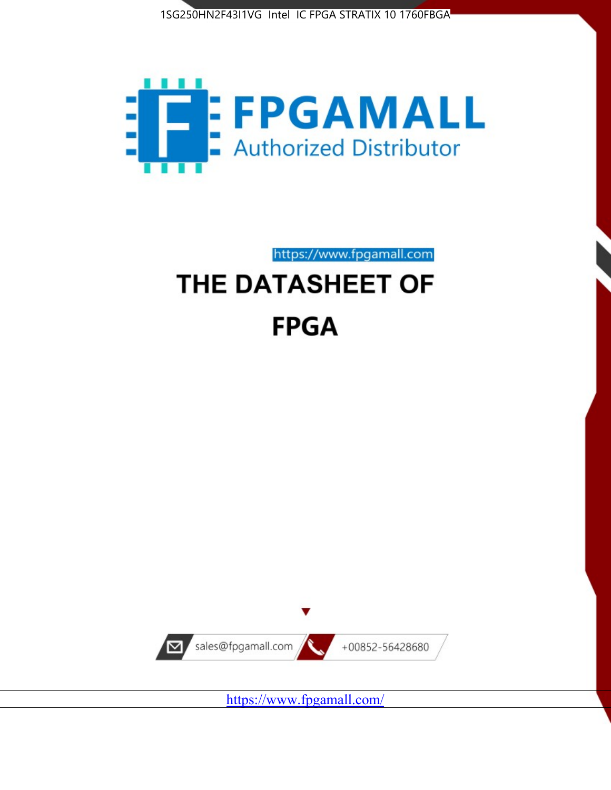



https://www.fpgamall.com

# THE DATASHEET OF **FPGA**



<https://www.fpgamall.com/>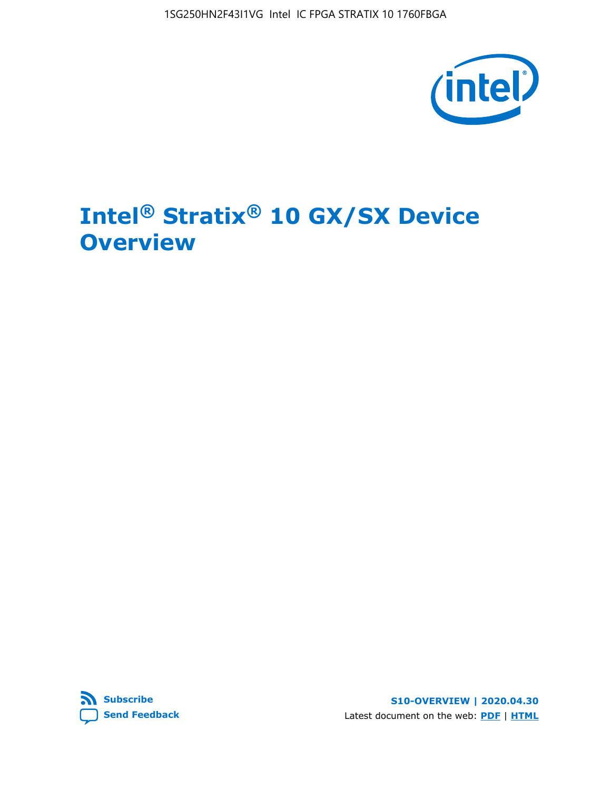1SG250HN2F43I1VG Intel IC FPGA STRATIX 10 1760FBGA



## **Intel® Stratix® 10 GX/SX Device Overview**



**S10-OVERVIEW | 2020.04.30** Latest document on the web: **[PDF](https://www.intel.com/content/dam/www/programmable/us/en/pdfs/literature/hb/stratix-10/s10-overview.pdf)** | **[HTML](https://www.intel.com/content/www/us/en/programmable/documentation/joc1442261161666.html)**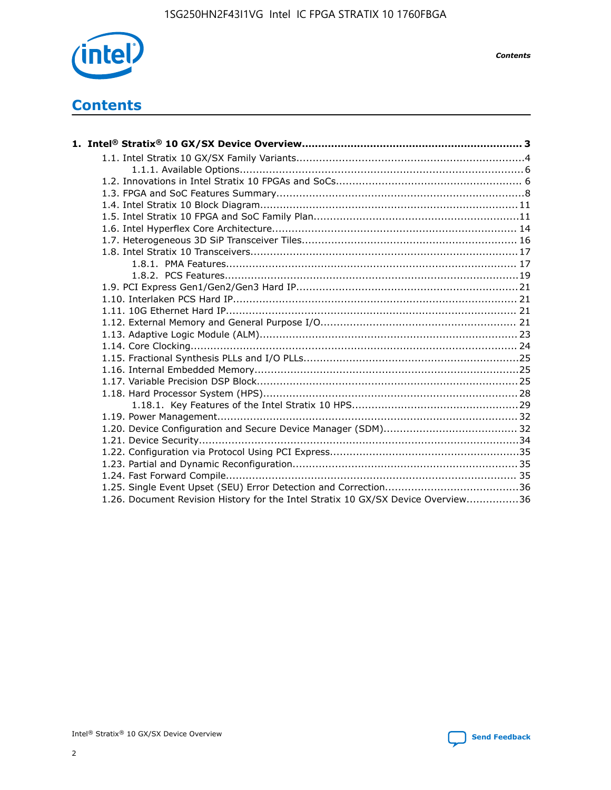

*Contents*

### **Contents**

| 1.26. Document Revision History for the Intel Stratix 10 GX/SX Device Overview36 |  |
|----------------------------------------------------------------------------------|--|

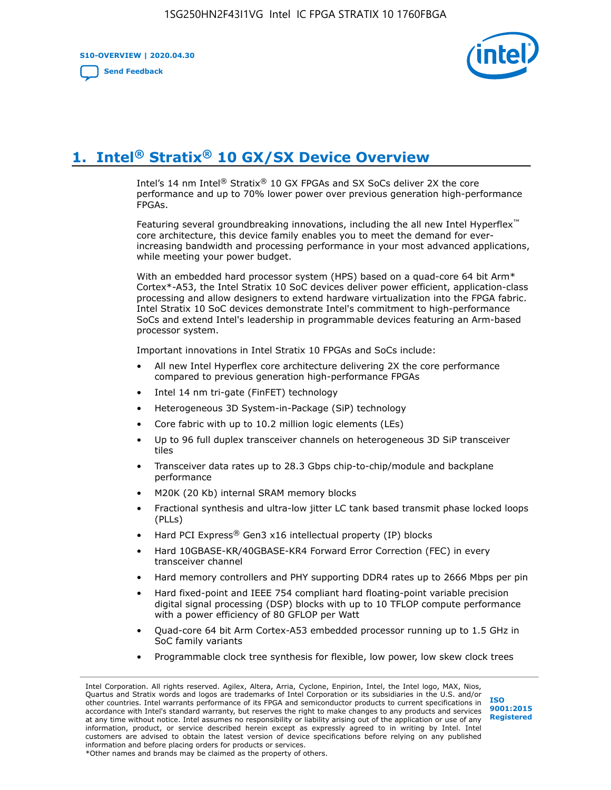**S10-OVERVIEW | 2020.04.30**

**[Send Feedback](mailto:FPGAtechdocfeedback@intel.com?subject=Feedback%20on%20Intel%20Stratix%2010%20GX/SX%20Device%20Overview%20(S10-OVERVIEW%202020.04.30)&body=We%20appreciate%20your%20feedback.%20In%20your%20comments,%20also%20specify%20the%20page%20number%20or%20paragraph.%20Thank%20you.)**



### **1. Intel® Stratix® 10 GX/SX Device Overview**

Intel's 14 nm Intel® Stratix® 10 GX FPGAs and SX SoCs deliver 2X the core performance and up to 70% lower power over previous generation high-performance FPGAs.

Featuring several groundbreaking innovations, including the all new Intel Hyperflex™ core architecture, this device family enables you to meet the demand for everincreasing bandwidth and processing performance in your most advanced applications, while meeting your power budget.

With an embedded hard processor system (HPS) based on a quad-core 64 bit Arm\* Cortex\*-A53, the Intel Stratix 10 SoC devices deliver power efficient, application-class processing and allow designers to extend hardware virtualization into the FPGA fabric. Intel Stratix 10 SoC devices demonstrate Intel's commitment to high-performance SoCs and extend Intel's leadership in programmable devices featuring an Arm-based processor system.

Important innovations in Intel Stratix 10 FPGAs and SoCs include:

- All new Intel Hyperflex core architecture delivering 2X the core performance compared to previous generation high-performance FPGAs
- Intel 14 nm tri-gate (FinFET) technology
- Heterogeneous 3D System-in-Package (SiP) technology
- Core fabric with up to 10.2 million logic elements (LEs)
- Up to 96 full duplex transceiver channels on heterogeneous 3D SiP transceiver tiles
- Transceiver data rates up to 28.3 Gbps chip-to-chip/module and backplane performance
- M20K (20 Kb) internal SRAM memory blocks
- Fractional synthesis and ultra-low jitter LC tank based transmit phase locked loops (PLLs)
- Hard PCI Express<sup>®</sup> Gen3 x16 intellectual property (IP) blocks
- Hard 10GBASE-KR/40GBASE-KR4 Forward Error Correction (FEC) in every transceiver channel
- Hard memory controllers and PHY supporting DDR4 rates up to 2666 Mbps per pin
- Hard fixed-point and IEEE 754 compliant hard floating-point variable precision digital signal processing (DSP) blocks with up to 10 TFLOP compute performance with a power efficiency of 80 GFLOP per Watt
- Quad-core 64 bit Arm Cortex-A53 embedded processor running up to 1.5 GHz in SoC family variants
- Programmable clock tree synthesis for flexible, low power, low skew clock trees

Intel Corporation. All rights reserved. Agilex, Altera, Arria, Cyclone, Enpirion, Intel, the Intel logo, MAX, Nios, Quartus and Stratix words and logos are trademarks of Intel Corporation or its subsidiaries in the U.S. and/or other countries. Intel warrants performance of its FPGA and semiconductor products to current specifications in accordance with Intel's standard warranty, but reserves the right to make changes to any products and services at any time without notice. Intel assumes no responsibility or liability arising out of the application or use of any information, product, or service described herein except as expressly agreed to in writing by Intel. Intel customers are advised to obtain the latest version of device specifications before relying on any published information and before placing orders for products or services. \*Other names and brands may be claimed as the property of others.

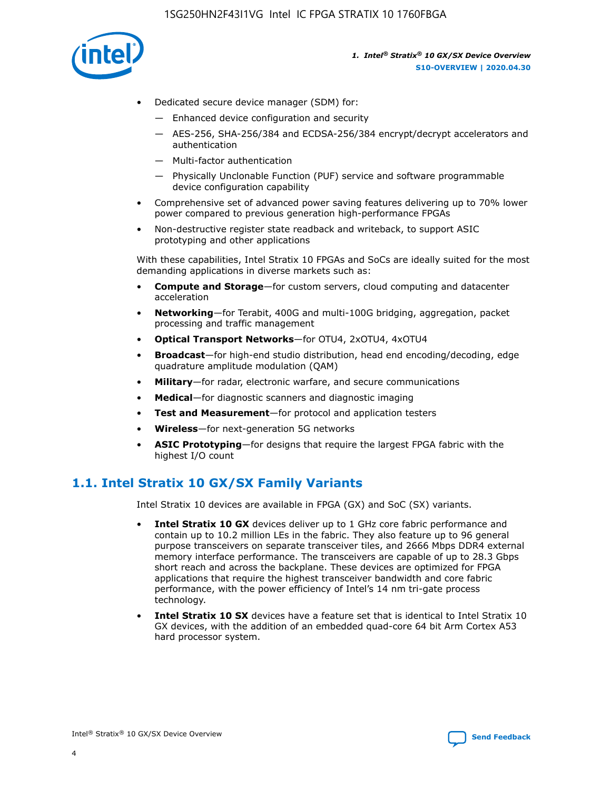

- Dedicated secure device manager (SDM) for:
	- Enhanced device configuration and security
	- AES-256, SHA-256/384 and ECDSA-256/384 encrypt/decrypt accelerators and authentication
	- Multi-factor authentication
	- Physically Unclonable Function (PUF) service and software programmable device configuration capability
- Comprehensive set of advanced power saving features delivering up to 70% lower power compared to previous generation high-performance FPGAs
- Non-destructive register state readback and writeback, to support ASIC prototyping and other applications

With these capabilities, Intel Stratix 10 FPGAs and SoCs are ideally suited for the most demanding applications in diverse markets such as:

- **Compute and Storage**—for custom servers, cloud computing and datacenter acceleration
- **Networking**—for Terabit, 400G and multi-100G bridging, aggregation, packet processing and traffic management
- **Optical Transport Networks**—for OTU4, 2xOTU4, 4xOTU4
- **Broadcast**—for high-end studio distribution, head end encoding/decoding, edge quadrature amplitude modulation (QAM)
- **Military**—for radar, electronic warfare, and secure communications
- **Medical**—for diagnostic scanners and diagnostic imaging
- **Test and Measurement**—for protocol and application testers
- **Wireless**—for next-generation 5G networks
- **ASIC Prototyping**—for designs that require the largest FPGA fabric with the highest I/O count

### **1.1. Intel Stratix 10 GX/SX Family Variants**

Intel Stratix 10 devices are available in FPGA (GX) and SoC (SX) variants.

- **Intel Stratix 10 GX** devices deliver up to 1 GHz core fabric performance and contain up to 10.2 million LEs in the fabric. They also feature up to 96 general purpose transceivers on separate transceiver tiles, and 2666 Mbps DDR4 external memory interface performance. The transceivers are capable of up to 28.3 Gbps short reach and across the backplane. These devices are optimized for FPGA applications that require the highest transceiver bandwidth and core fabric performance, with the power efficiency of Intel's 14 nm tri-gate process technology.
- **Intel Stratix 10 SX** devices have a feature set that is identical to Intel Stratix 10 GX devices, with the addition of an embedded quad-core 64 bit Arm Cortex A53 hard processor system.

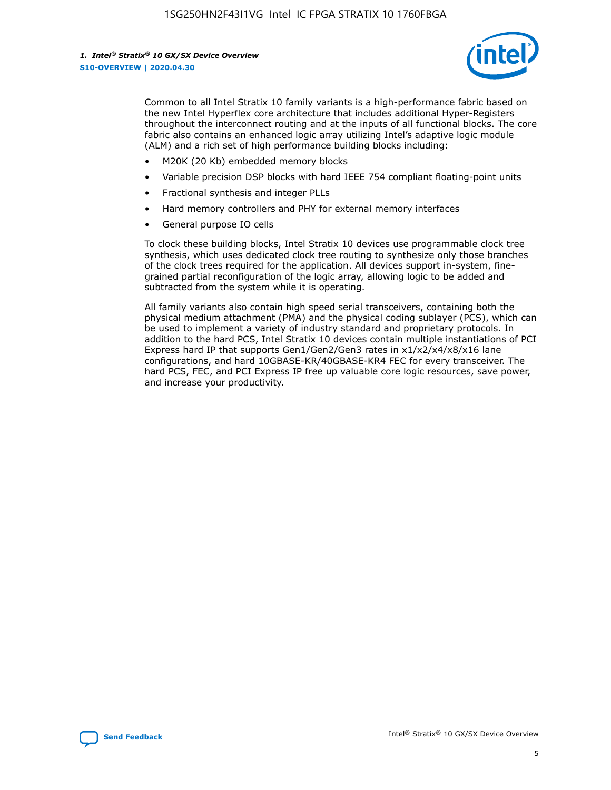

Common to all Intel Stratix 10 family variants is a high-performance fabric based on the new Intel Hyperflex core architecture that includes additional Hyper-Registers throughout the interconnect routing and at the inputs of all functional blocks. The core fabric also contains an enhanced logic array utilizing Intel's adaptive logic module (ALM) and a rich set of high performance building blocks including:

- M20K (20 Kb) embedded memory blocks
- Variable precision DSP blocks with hard IEEE 754 compliant floating-point units
- Fractional synthesis and integer PLLs
- Hard memory controllers and PHY for external memory interfaces
- General purpose IO cells

To clock these building blocks, Intel Stratix 10 devices use programmable clock tree synthesis, which uses dedicated clock tree routing to synthesize only those branches of the clock trees required for the application. All devices support in-system, finegrained partial reconfiguration of the logic array, allowing logic to be added and subtracted from the system while it is operating.

All family variants also contain high speed serial transceivers, containing both the physical medium attachment (PMA) and the physical coding sublayer (PCS), which can be used to implement a variety of industry standard and proprietary protocols. In addition to the hard PCS, Intel Stratix 10 devices contain multiple instantiations of PCI Express hard IP that supports Gen1/Gen2/Gen3 rates in x1/x2/x4/x8/x16 lane configurations, and hard 10GBASE-KR/40GBASE-KR4 FEC for every transceiver. The hard PCS, FEC, and PCI Express IP free up valuable core logic resources, save power, and increase your productivity.

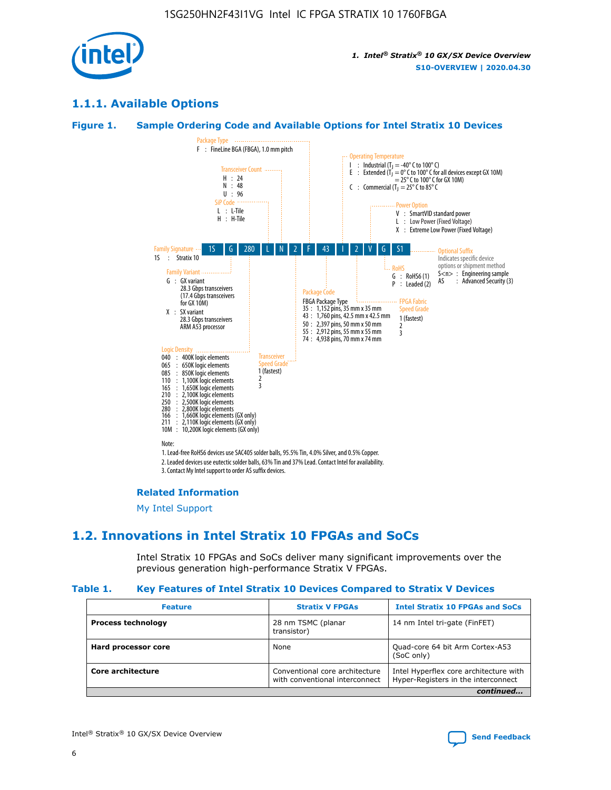

### **1.1.1. Available Options**

#### **Figure 1. Sample Ordering Code and Available Options for Intel Stratix 10 Devices**



#### **Related Information**

[My Intel Support](https://www.intel.com/content/www/us/en/programmable/my-intel/mal-home.html)

### **1.2. Innovations in Intel Stratix 10 FPGAs and SoCs**

Intel Stratix 10 FPGAs and SoCs deliver many significant improvements over the previous generation high-performance Stratix V FPGAs.

#### **Table 1. Key Features of Intel Stratix 10 Devices Compared to Stratix V Devices**

| <b>Feature</b>            | <b>Stratix V FPGAs</b>                                           | <b>Intel Stratix 10 FPGAs and SoCs</b>                                        |  |
|---------------------------|------------------------------------------------------------------|-------------------------------------------------------------------------------|--|
| <b>Process technology</b> | 28 nm TSMC (planar<br>transistor)                                | 14 nm Intel tri-gate (FinFET)                                                 |  |
| Hard processor core       | None                                                             | Quad-core 64 bit Arm Cortex-A53<br>(SoC only)                                 |  |
| Core architecture         | Conventional core architecture<br>with conventional interconnect | Intel Hyperflex core architecture with<br>Hyper-Registers in the interconnect |  |
|                           |                                                                  | continued                                                                     |  |

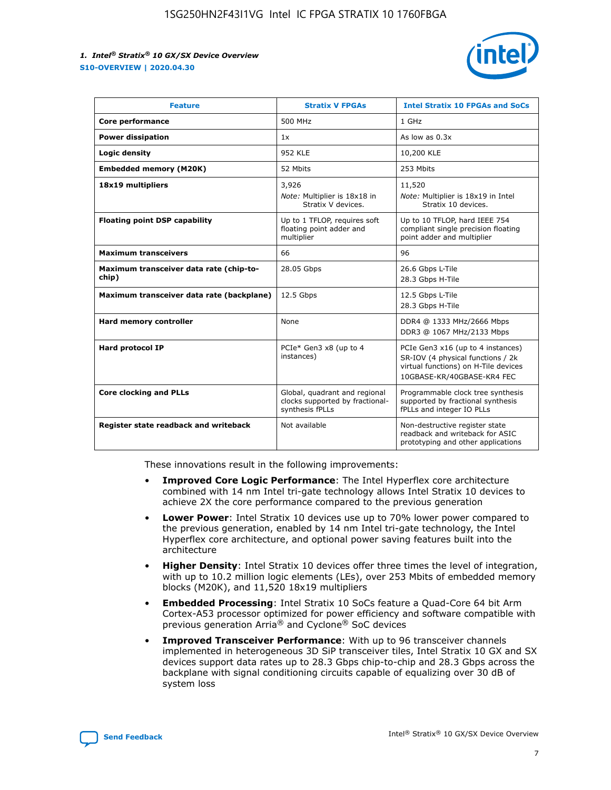

| <b>Feature</b>                                   | <b>Stratix V FPGAs</b>                                                              | <b>Intel Stratix 10 FPGAs and SoCs</b>                                                                                                       |
|--------------------------------------------------|-------------------------------------------------------------------------------------|----------------------------------------------------------------------------------------------------------------------------------------------|
| Core performance                                 | 500 MHz                                                                             | 1 GHz                                                                                                                                        |
| <b>Power dissipation</b>                         | 1x                                                                                  | As low as $0.3x$                                                                                                                             |
| Logic density                                    | <b>952 KLE</b>                                                                      | 10,200 KLE                                                                                                                                   |
| <b>Embedded memory (M20K)</b>                    | 52 Mbits                                                                            | 253 Mbits                                                                                                                                    |
| 18x19 multipliers                                | 3,926                                                                               | 11,520                                                                                                                                       |
|                                                  | Note: Multiplier is 18x18 in<br>Stratix V devices.                                  | Note: Multiplier is 18x19 in Intel<br>Stratix 10 devices.                                                                                    |
| <b>Floating point DSP capability</b>             | Up to 1 TFLOP, requires soft<br>floating point adder and<br>multiplier              | Up to 10 TFLOP, hard IEEE 754<br>compliant single precision floating<br>point adder and multiplier                                           |
| <b>Maximum transceivers</b>                      | 66                                                                                  | 96                                                                                                                                           |
| Maximum transceiver data rate (chip-to-<br>chip) | 28.05 Gbps                                                                          | 26.6 Gbps L-Tile<br>28.3 Gbps H-Tile                                                                                                         |
| Maximum transceiver data rate (backplane)        | 12.5 Gbps                                                                           | 12.5 Gbps L-Tile<br>28.3 Gbps H-Tile                                                                                                         |
| Hard memory controller                           | None                                                                                | DDR4 @ 1333 MHz/2666 Mbps<br>DDR3 @ 1067 MHz/2133 Mbps                                                                                       |
| <b>Hard protocol IP</b>                          | PCIe* Gen3 x8 (up to 4<br>instances)                                                | PCIe Gen3 x16 (up to 4 instances)<br>SR-IOV (4 physical functions / 2k<br>virtual functions) on H-Tile devices<br>10GBASE-KR/40GBASE-KR4 FEC |
| <b>Core clocking and PLLs</b>                    | Global, quadrant and regional<br>clocks supported by fractional-<br>synthesis fPLLs | Programmable clock tree synthesis<br>supported by fractional synthesis<br>fPLLs and integer IO PLLs                                          |
| Register state readback and writeback            | Not available                                                                       | Non-destructive register state<br>readback and writeback for ASIC<br>prototyping and other applications                                      |

These innovations result in the following improvements:

- **Improved Core Logic Performance**: The Intel Hyperflex core architecture combined with 14 nm Intel tri-gate technology allows Intel Stratix 10 devices to achieve 2X the core performance compared to the previous generation
- **Lower Power**: Intel Stratix 10 devices use up to 70% lower power compared to the previous generation, enabled by 14 nm Intel tri-gate technology, the Intel Hyperflex core architecture, and optional power saving features built into the architecture
- **Higher Density**: Intel Stratix 10 devices offer three times the level of integration, with up to 10.2 million logic elements (LEs), over 253 Mbits of embedded memory blocks (M20K), and 11,520 18x19 multipliers
- **Embedded Processing**: Intel Stratix 10 SoCs feature a Quad-Core 64 bit Arm Cortex-A53 processor optimized for power efficiency and software compatible with previous generation Arria® and Cyclone® SoC devices
- **Improved Transceiver Performance**: With up to 96 transceiver channels implemented in heterogeneous 3D SiP transceiver tiles, Intel Stratix 10 GX and SX devices support data rates up to 28.3 Gbps chip-to-chip and 28.3 Gbps across the backplane with signal conditioning circuits capable of equalizing over 30 dB of system loss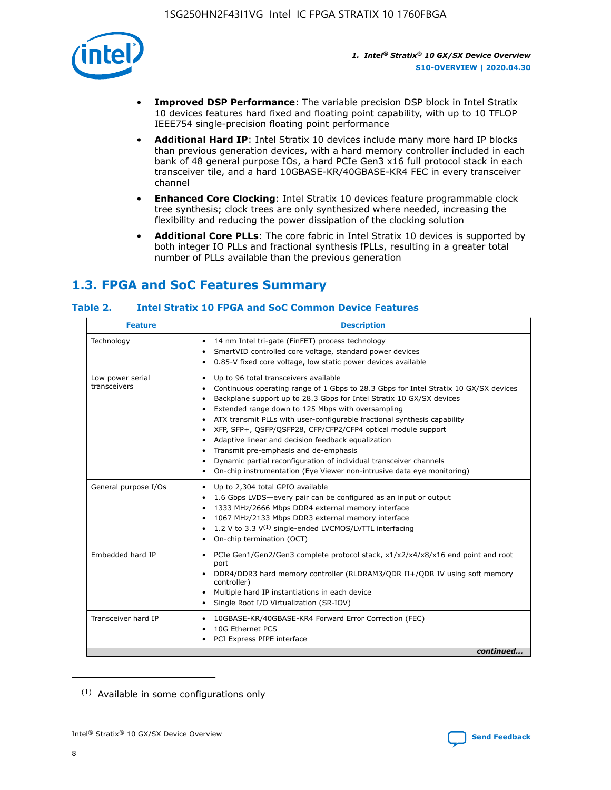

- **Improved DSP Performance**: The variable precision DSP block in Intel Stratix 10 devices features hard fixed and floating point capability, with up to 10 TFLOP IEEE754 single-precision floating point performance
- **Additional Hard IP**: Intel Stratix 10 devices include many more hard IP blocks than previous generation devices, with a hard memory controller included in each bank of 48 general purpose IOs, a hard PCIe Gen3 x16 full protocol stack in each transceiver tile, and a hard 10GBASE-KR/40GBASE-KR4 FEC in every transceiver channel
- **Enhanced Core Clocking**: Intel Stratix 10 devices feature programmable clock tree synthesis; clock trees are only synthesized where needed, increasing the flexibility and reducing the power dissipation of the clocking solution
- **Additional Core PLLs**: The core fabric in Intel Stratix 10 devices is supported by both integer IO PLLs and fractional synthesis fPLLs, resulting in a greater total number of PLLs available than the previous generation

### **1.3. FPGA and SoC Features Summary**

### **Table 2. Intel Stratix 10 FPGA and SoC Common Device Features**

| <b>Feature</b>                   | <b>Description</b>                                                                                                                                                                                                                                                                                                                                                                                                                                                                                                                                                                                                                                                                                                                                   |
|----------------------------------|------------------------------------------------------------------------------------------------------------------------------------------------------------------------------------------------------------------------------------------------------------------------------------------------------------------------------------------------------------------------------------------------------------------------------------------------------------------------------------------------------------------------------------------------------------------------------------------------------------------------------------------------------------------------------------------------------------------------------------------------------|
| Technology                       | 14 nm Intel tri-gate (FinFET) process technology<br>٠<br>SmartVID controlled core voltage, standard power devices<br>0.85-V fixed core voltage, low static power devices available                                                                                                                                                                                                                                                                                                                                                                                                                                                                                                                                                                   |
| Low power serial<br>transceivers | Up to 96 total transceivers available<br>$\bullet$<br>Continuous operating range of 1 Gbps to 28.3 Gbps for Intel Stratix 10 GX/SX devices<br>$\bullet$<br>Backplane support up to 28.3 Gbps for Intel Stratix 10 GX/SX devices<br>$\bullet$<br>Extended range down to 125 Mbps with oversampling<br>$\bullet$<br>ATX transmit PLLs with user-configurable fractional synthesis capability<br>$\bullet$<br>• XFP, SFP+, OSFP/OSFP28, CFP/CFP2/CFP4 optical module support<br>• Adaptive linear and decision feedback equalization<br>Transmit pre-emphasis and de-emphasis<br>Dynamic partial reconfiguration of individual transceiver channels<br>$\bullet$<br>On-chip instrumentation (Eye Viewer non-intrusive data eye monitoring)<br>$\bullet$ |
| General purpose I/Os             | Up to 2,304 total GPIO available<br>$\bullet$<br>1.6 Gbps LVDS-every pair can be configured as an input or output<br>$\bullet$<br>1333 MHz/2666 Mbps DDR4 external memory interface<br>1067 MHz/2133 Mbps DDR3 external memory interface<br>1.2 V to 3.3 $V^{(1)}$ single-ended LVCMOS/LVTTL interfacing<br>$\bullet$<br>On-chip termination (OCT)<br>$\bullet$                                                                                                                                                                                                                                                                                                                                                                                      |
| Embedded hard IP                 | • PCIe Gen1/Gen2/Gen3 complete protocol stack, $x1/x2/x4/x8/x16$ end point and root<br>port<br>DDR4/DDR3 hard memory controller (RLDRAM3/QDR II+/QDR IV using soft memory<br>controller)<br>Multiple hard IP instantiations in each device<br>$\bullet$<br>• Single Root I/O Virtualization (SR-IOV)                                                                                                                                                                                                                                                                                                                                                                                                                                                 |
| Transceiver hard IP              | 10GBASE-KR/40GBASE-KR4 Forward Error Correction (FEC)<br>$\bullet$<br>10G Ethernet PCS<br>$\bullet$<br>• PCI Express PIPE interface<br>continued                                                                                                                                                                                                                                                                                                                                                                                                                                                                                                                                                                                                     |

<sup>(1)</sup> Available in some configurations only

8

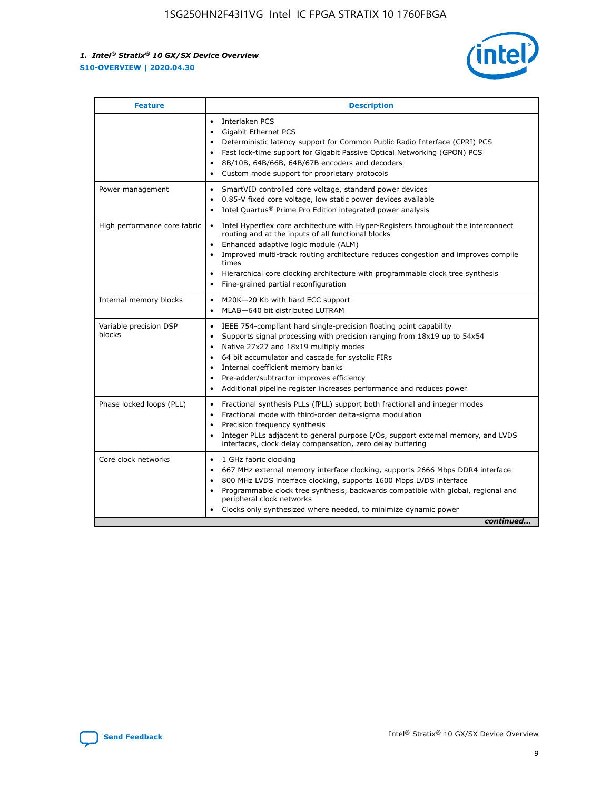

| <b>Feature</b>                   | <b>Description</b>                                                                                                                                                                                                                                                                                                                                                                                                                                                    |  |  |  |
|----------------------------------|-----------------------------------------------------------------------------------------------------------------------------------------------------------------------------------------------------------------------------------------------------------------------------------------------------------------------------------------------------------------------------------------------------------------------------------------------------------------------|--|--|--|
|                                  | Interlaken PCS<br>$\bullet$<br>Gigabit Ethernet PCS<br>$\bullet$<br>Deterministic latency support for Common Public Radio Interface (CPRI) PCS<br>$\bullet$<br>Fast lock-time support for Gigabit Passive Optical Networking (GPON) PCS<br>$\bullet$<br>8B/10B, 64B/66B, 64B/67B encoders and decoders<br>$\bullet$<br>Custom mode support for proprietary protocols<br>$\bullet$                                                                                     |  |  |  |
| Power management                 | SmartVID controlled core voltage, standard power devices<br>$\bullet$<br>0.85-V fixed core voltage, low static power devices available<br>$\bullet$<br>Intel Quartus <sup>®</sup> Prime Pro Edition integrated power analysis<br>٠                                                                                                                                                                                                                                    |  |  |  |
| High performance core fabric     | Intel Hyperflex core architecture with Hyper-Registers throughout the interconnect<br>$\bullet$<br>routing and at the inputs of all functional blocks<br>Enhanced adaptive logic module (ALM)<br>$\bullet$<br>Improved multi-track routing architecture reduces congestion and improves compile<br>times<br>Hierarchical core clocking architecture with programmable clock tree synthesis<br>Fine-grained partial reconfiguration                                    |  |  |  |
| Internal memory blocks           | M20K-20 Kb with hard ECC support<br>٠<br>MLAB-640 bit distributed LUTRAM<br>$\bullet$                                                                                                                                                                                                                                                                                                                                                                                 |  |  |  |
| Variable precision DSP<br>blocks | IEEE 754-compliant hard single-precision floating point capability<br>$\bullet$<br>Supports signal processing with precision ranging from 18x19 up to 54x54<br>$\bullet$<br>Native 27x27 and 18x19 multiply modes<br>$\bullet$<br>64 bit accumulator and cascade for systolic FIRs<br>Internal coefficient memory banks<br>Pre-adder/subtractor improves efficiency<br>$\bullet$<br>Additional pipeline register increases performance and reduces power<br>$\bullet$ |  |  |  |
| Phase locked loops (PLL)         | Fractional synthesis PLLs (fPLL) support both fractional and integer modes<br>$\bullet$<br>Fractional mode with third-order delta-sigma modulation<br>Precision frequency synthesis<br>$\bullet$<br>Integer PLLs adjacent to general purpose I/Os, support external memory, and LVDS<br>$\bullet$<br>interfaces, clock delay compensation, zero delay buffering                                                                                                       |  |  |  |
| Core clock networks              | 1 GHz fabric clocking<br>$\bullet$<br>667 MHz external memory interface clocking, supports 2666 Mbps DDR4 interface<br>$\bullet$<br>800 MHz LVDS interface clocking, supports 1600 Mbps LVDS interface<br>$\bullet$<br>Programmable clock tree synthesis, backwards compatible with global, regional and<br>$\bullet$<br>peripheral clock networks<br>Clocks only synthesized where needed, to minimize dynamic power<br>continued                                    |  |  |  |

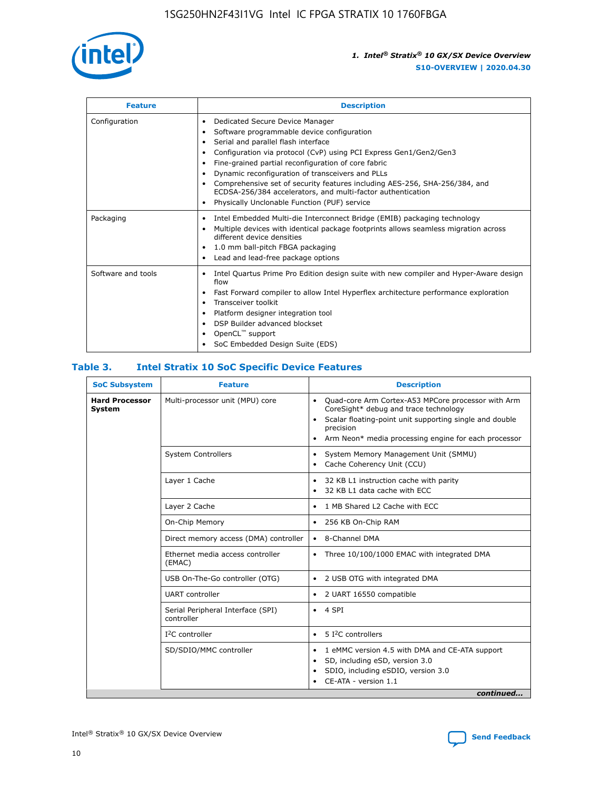

| <b>Feature</b>     | <b>Description</b>                                                                                                                                                                                                                                                                                                                                                                                                                                                                                                    |
|--------------------|-----------------------------------------------------------------------------------------------------------------------------------------------------------------------------------------------------------------------------------------------------------------------------------------------------------------------------------------------------------------------------------------------------------------------------------------------------------------------------------------------------------------------|
| Configuration      | Dedicated Secure Device Manager<br>٠<br>Software programmable device configuration<br>٠<br>Serial and parallel flash interface<br>٠<br>Configuration via protocol (CvP) using PCI Express Gen1/Gen2/Gen3<br>Fine-grained partial reconfiguration of core fabric<br>Dynamic reconfiguration of transceivers and PLLs<br>٠<br>Comprehensive set of security features including AES-256, SHA-256/384, and<br>ECDSA-256/384 accelerators, and multi-factor authentication<br>Physically Unclonable Function (PUF) service |
| Packaging          | Intel Embedded Multi-die Interconnect Bridge (EMIB) packaging technology<br>٠<br>Multiple devices with identical package footprints allows seamless migration across<br>٠<br>different device densities<br>1.0 mm ball-pitch FBGA packaging<br>٠<br>Lead and lead-free package options                                                                                                                                                                                                                                |
| Software and tools | Intel Quartus Prime Pro Edition design suite with new compiler and Hyper-Aware design<br>flow<br>Fast Forward compiler to allow Intel Hyperflex architecture performance exploration<br>٠<br>Transceiver toolkit<br>Platform designer integration tool<br>DSP Builder advanced blockset<br>OpenCL <sup>™</sup> support<br>SoC Embedded Design Suite (EDS)                                                                                                                                                             |

### **Table 3. Intel Stratix 10 SoC Specific Device Features**

| <b>Hard Processor</b> | Multi-processor unit (MPU) core                 |                                                                                                                                                                                                                                                                    |  |  |
|-----------------------|-------------------------------------------------|--------------------------------------------------------------------------------------------------------------------------------------------------------------------------------------------------------------------------------------------------------------------|--|--|
| System                |                                                 | Quad-core Arm Cortex-A53 MPCore processor with Arm<br>$\bullet$<br>CoreSight* debug and trace technology<br>Scalar floating-point unit supporting single and double<br>$\bullet$<br>precision<br>Arm Neon* media processing engine for each processor<br>$\bullet$ |  |  |
|                       | <b>System Controllers</b>                       | System Memory Management Unit (SMMU)<br>٠<br>Cache Coherency Unit (CCU)<br>$\bullet$                                                                                                                                                                               |  |  |
|                       | Layer 1 Cache                                   | 32 KB L1 instruction cache with parity<br>$\bullet$<br>32 KB L1 data cache with ECC<br>$\bullet$                                                                                                                                                                   |  |  |
|                       | Layer 2 Cache                                   | 1 MB Shared L2 Cache with ECC<br>$\bullet$                                                                                                                                                                                                                         |  |  |
|                       | On-Chip Memory                                  | 256 KB On-Chip RAM<br>٠                                                                                                                                                                                                                                            |  |  |
|                       | Direct memory access (DMA) controller           | • 8-Channel DMA                                                                                                                                                                                                                                                    |  |  |
|                       | Ethernet media access controller<br>(EMAC)      | Three 10/100/1000 EMAC with integrated DMA<br>$\bullet$                                                                                                                                                                                                            |  |  |
|                       | USB On-The-Go controller (OTG)                  | 2 USB OTG with integrated DMA<br>٠                                                                                                                                                                                                                                 |  |  |
|                       | <b>UART</b> controller                          | 2 UART 16550 compatible<br>٠                                                                                                                                                                                                                                       |  |  |
|                       | Serial Peripheral Interface (SPI)<br>controller | $\bullet$ 4 SPI                                                                                                                                                                                                                                                    |  |  |
|                       | $I2C$ controller                                | 5 I <sup>2</sup> C controllers<br>$\bullet$                                                                                                                                                                                                                        |  |  |
|                       | SD/SDIO/MMC controller                          | 1 eMMC version 4.5 with DMA and CE-ATA support<br>٠<br>SD, including eSD, version 3.0<br>$\bullet$<br>SDIO, including eSDIO, version 3.0<br>CE-ATA - version 1.1<br>continued                                                                                      |  |  |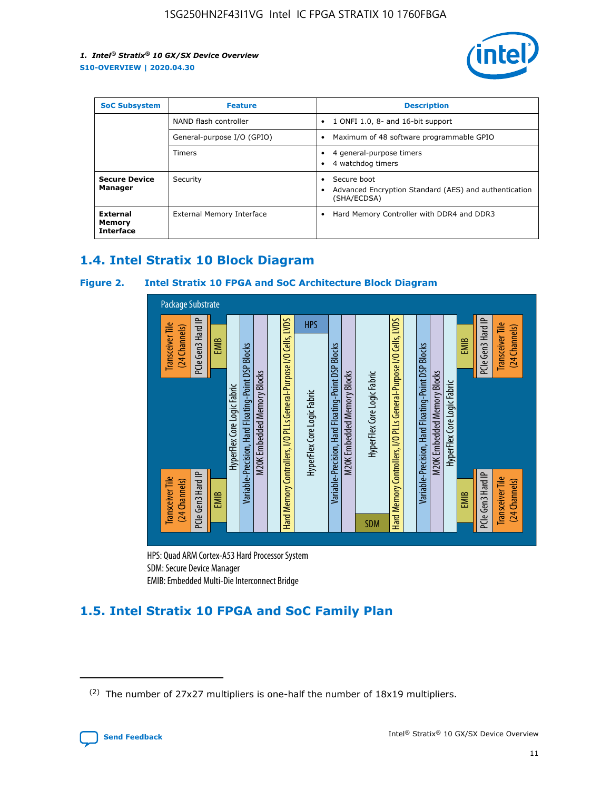

| <b>SoC Subsystem</b><br><b>Feature</b> |                            | <b>Description</b>                                                                                    |
|----------------------------------------|----------------------------|-------------------------------------------------------------------------------------------------------|
|                                        | NAND flash controller      | 1 ONFI 1.0, 8- and 16-bit support<br>$\bullet$                                                        |
|                                        | General-purpose I/O (GPIO) | Maximum of 48 software programmable GPIO<br>$\bullet$                                                 |
|                                        | Timers                     | 4 general-purpose timers<br>4 watchdog timers<br>٠                                                    |
| <b>Secure Device</b><br>Manager        | Security                   | Secure boot<br>$\bullet$<br>Advanced Encryption Standard (AES) and authentication<br>٠<br>(SHA/ECDSA) |
| External<br>Memory<br><b>Interface</b> | External Memory Interface  | Hard Memory Controller with DDR4 and DDR3<br>$\bullet$                                                |

### **1.4. Intel Stratix 10 Block Diagram**

### **Figure 2. Intel Stratix 10 FPGA and SoC Architecture Block Diagram**



HPS: Quad ARM Cortex-A53 Hard Processor System SDM: Secure Device Manager

### **1.5. Intel Stratix 10 FPGA and SoC Family Plan**

<sup>(2)</sup> The number of 27x27 multipliers is one-half the number of 18x19 multipliers.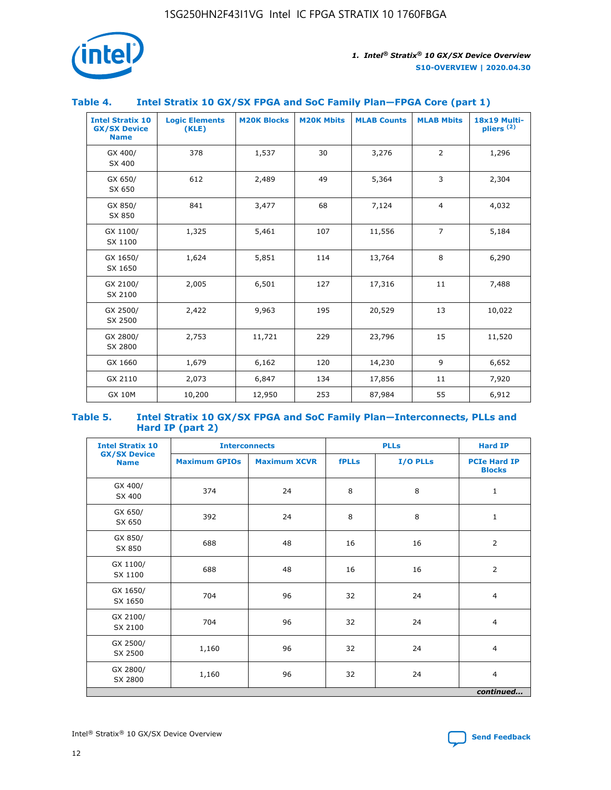

### **Table 4. Intel Stratix 10 GX/SX FPGA and SoC Family Plan—FPGA Core (part 1)**

| <b>Intel Stratix 10</b><br><b>GX/SX Device</b><br><b>Name</b> | <b>Logic Elements</b><br>(KLE) | <b>M20K Blocks</b> | <b>M20K Mbits</b> | <b>MLAB Counts</b> | <b>MLAB Mbits</b> | 18x19 Multi-<br>pliers <sup>(2)</sup> |
|---------------------------------------------------------------|--------------------------------|--------------------|-------------------|--------------------|-------------------|---------------------------------------|
| GX 400/<br>SX 400                                             | 378                            | 1,537              | 30                | 3,276              | $\overline{2}$    | 1,296                                 |
| GX 650/<br>SX 650                                             | 612                            | 2,489              | 49                | 5,364              | 3                 | 2,304                                 |
| GX 850/<br>SX 850                                             | 841                            | 3,477              | 68                | 7,124              | $\overline{4}$    | 4,032                                 |
| GX 1100/<br>SX 1100                                           | 1,325                          | 5,461              | 107               | 11,556             | $\overline{7}$    | 5,184                                 |
| GX 1650/<br>SX 1650                                           | 1,624                          | 5,851              | 114               | 13,764             | 8                 | 6,290                                 |
| GX 2100/<br>SX 2100                                           | 2,005                          | 6,501              | 127               | 17,316             | 11                | 7,488                                 |
| GX 2500/<br>SX 2500                                           | 2,422                          | 9,963              | 195               | 20,529             | 13                | 10,022                                |
| GX 2800/<br>SX 2800                                           | 2,753                          | 11,721             | 229               | 23,796             | 15                | 11,520                                |
| GX 1660                                                       | 1,679                          | 6,162              | 120               | 14,230             | 9                 | 6,652                                 |
| GX 2110                                                       | 2,073                          | 6,847              | 134               | 17,856             | 11                | 7,920                                 |
| <b>GX 10M</b>                                                 | 10,200                         | 12,950             | 253               | 87,984             | 55                | 6,912                                 |

#### **Table 5. Intel Stratix 10 GX/SX FPGA and SoC Family Plan—Interconnects, PLLs and Hard IP (part 2)**

| <b>Intel Stratix 10</b>            |                      | <b>Interconnects</b> |              | <b>PLLs</b> | <b>Hard IP</b>                       |  |
|------------------------------------|----------------------|----------------------|--------------|-------------|--------------------------------------|--|
| <b>GX/SX Device</b><br><b>Name</b> | <b>Maximum GPIOs</b> | <b>Maximum XCVR</b>  | <b>fPLLs</b> | I/O PLLs    | <b>PCIe Hard IP</b><br><b>Blocks</b> |  |
| GX 400/<br>SX 400                  | 374                  | 24                   | 8            | 8           | $\mathbf{1}$                         |  |
| GX 650/<br>SX 650                  | 392                  | 24                   | 8            | 8           | $\mathbf{1}$                         |  |
| GX 850/<br>SX 850                  | 688                  | 48                   | 16           | 16          | 2                                    |  |
| GX 1100/<br>SX 1100                | 688                  | 48                   | 16           | 16          | 2                                    |  |
| GX 1650/<br>SX 1650                | 704                  | 96                   | 32           | 24          | $\overline{4}$                       |  |
| GX 2100/<br>SX 2100                | 704                  | 96                   | 32           | 24          | $\overline{4}$                       |  |
| GX 2500/<br>SX 2500                | 1,160                | 96                   | 32           | 24          | $\overline{4}$                       |  |
| GX 2800/<br>SX 2800                | 1,160                | 96                   | 32           | 24          | $\overline{4}$                       |  |
| continued                          |                      |                      |              |             |                                      |  |

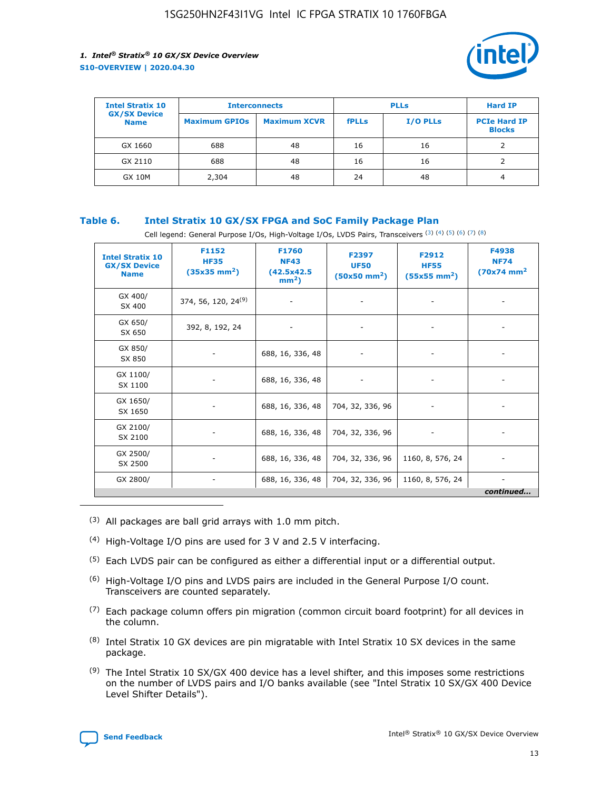

| <b>Intel Stratix 10</b>            | <b>Interconnects</b> |                     | <b>PLLs</b>  |                 | <b>Hard IP</b>                       |
|------------------------------------|----------------------|---------------------|--------------|-----------------|--------------------------------------|
| <b>GX/SX Device</b><br><b>Name</b> | <b>Maximum GPIOs</b> | <b>Maximum XCVR</b> | <b>fPLLs</b> | <b>I/O PLLs</b> | <b>PCIe Hard IP</b><br><b>Blocks</b> |
| GX 1660                            | 688                  | 48                  | 16           | 16              |                                      |
| GX 2110                            | 688                  | 48                  | 16           | 16              |                                      |
| <b>GX 10M</b>                      | 2,304                | 48                  | 24           | 48              | 4                                    |

### **Table 6. Intel Stratix 10 GX/SX FPGA and SoC Family Package Plan**

Cell legend: General Purpose I/Os, High-Voltage I/Os, LVDS Pairs, Transceivers (3) (4) (5) (6) (7) (8)

| <b>Intel Stratix 10</b><br><b>GX/SX Device</b><br><b>Name</b> | F1152<br><b>HF35</b><br>$(35x35 \text{ mm}^2)$ | F1760<br><b>NF43</b><br>(42.5x42.5<br>$mm2$ ) | F2397<br><b>UF50</b><br>$(50x50 \text{ mm}^2)$ | F2912<br><b>HF55</b><br>$(55x55$ mm <sup>2</sup> ) | F4938<br><b>NF74</b><br>$(70x74)$ mm <sup>2</sup> |
|---------------------------------------------------------------|------------------------------------------------|-----------------------------------------------|------------------------------------------------|----------------------------------------------------|---------------------------------------------------|
| GX 400/<br>SX 400                                             | 374, 56, 120, 24 <sup>(9)</sup>                | $\overline{\phantom{a}}$                      | $\overline{\phantom{a}}$                       | ۰                                                  |                                                   |
| GX 650/<br>SX 650                                             | 392, 8, 192, 24                                | $\overline{\phantom{a}}$                      | $\overline{\phantom{a}}$                       |                                                    |                                                   |
| GX 850/<br>SX 850                                             | ۰.                                             | 688, 16, 336, 48                              |                                                |                                                    |                                                   |
| GX 1100/<br>SX 1100                                           |                                                | 688, 16, 336, 48                              |                                                |                                                    |                                                   |
| GX 1650/<br>SX 1650                                           |                                                | 688, 16, 336, 48                              | 704, 32, 336, 96                               |                                                    |                                                   |
| GX 2100/<br>SX 2100                                           | -                                              | 688, 16, 336, 48                              | 704, 32, 336, 96                               | $\overline{\phantom{a}}$                           |                                                   |
| GX 2500/<br>SX 2500                                           |                                                | 688, 16, 336, 48                              | 704, 32, 336, 96                               | 1160, 8, 576, 24                                   |                                                   |
| GX 2800/                                                      | -                                              | 688, 16, 336, 48                              | 704, 32, 336, 96                               | 1160, 8, 576, 24                                   | $\overline{\phantom{a}}$<br>continued             |

- (3) All packages are ball grid arrays with 1.0 mm pitch.
- (4) High-Voltage I/O pins are used for 3 V and 2.5 V interfacing.
- $(5)$  Each LVDS pair can be configured as either a differential input or a differential output.
- (6) High-Voltage I/O pins and LVDS pairs are included in the General Purpose I/O count. Transceivers are counted separately.
- $(7)$  Each package column offers pin migration (common circuit board footprint) for all devices in the column.
- $(8)$  Intel Stratix 10 GX devices are pin migratable with Intel Stratix 10 SX devices in the same package.
- $(9)$  The Intel Stratix 10 SX/GX 400 device has a level shifter, and this imposes some restrictions on the number of LVDS pairs and I/O banks available (see "Intel Stratix 10 SX/GX 400 Device Level Shifter Details").

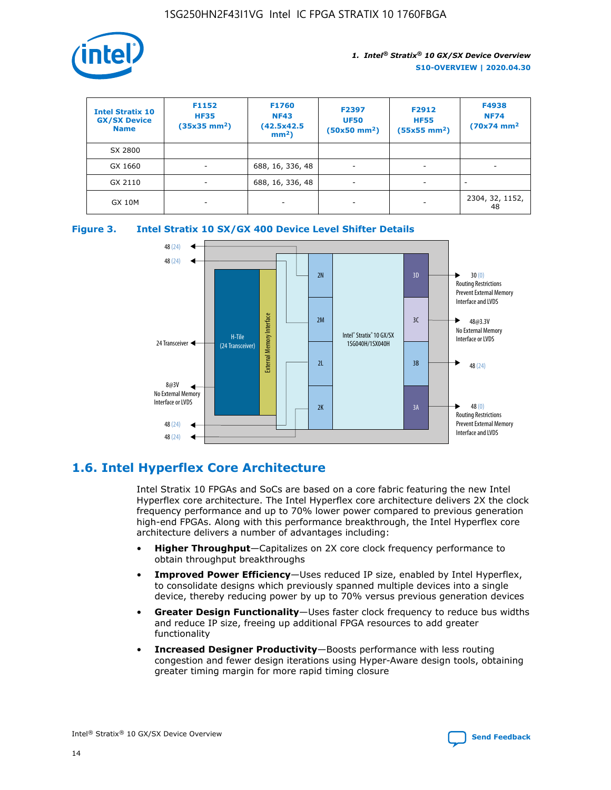

| <b>Intel Stratix 10</b><br><b>GX/SX Device</b><br><b>Name</b> | F1152<br><b>HF35</b><br>$(35x35)$ mm <sup>2</sup> ) | F1760<br><b>NF43</b><br>(42.5x42.5<br>$mm2$ ) | F2397<br><b>UF50</b><br>$(50x50 \text{ mm}^2)$ | F2912<br><b>HF55</b><br>$(55x55$ mm <sup>2</sup> ) | F4938<br><b>NF74</b><br>$(70x74)$ mm <sup>2</sup> |
|---------------------------------------------------------------|-----------------------------------------------------|-----------------------------------------------|------------------------------------------------|----------------------------------------------------|---------------------------------------------------|
| SX 2800                                                       |                                                     |                                               |                                                |                                                    |                                                   |
| GX 1660                                                       | -                                                   | 688, 16, 336, 48                              | $\overline{\phantom{a}}$                       |                                                    |                                                   |
| GX 2110                                                       |                                                     | 688, 16, 336, 48                              | $\overline{\phantom{a}}$                       |                                                    |                                                   |
| <b>GX 10M</b>                                                 | ۰                                                   |                                               |                                                |                                                    | 2304, 32, 1152,<br>48                             |





### **1.6. Intel Hyperflex Core Architecture**

Intel Stratix 10 FPGAs and SoCs are based on a core fabric featuring the new Intel Hyperflex core architecture. The Intel Hyperflex core architecture delivers 2X the clock frequency performance and up to 70% lower power compared to previous generation high-end FPGAs. Along with this performance breakthrough, the Intel Hyperflex core architecture delivers a number of advantages including:

- **Higher Throughput**—Capitalizes on 2X core clock frequency performance to obtain throughput breakthroughs
- **Improved Power Efficiency**—Uses reduced IP size, enabled by Intel Hyperflex, to consolidate designs which previously spanned multiple devices into a single device, thereby reducing power by up to 70% versus previous generation devices
- **Greater Design Functionality**—Uses faster clock frequency to reduce bus widths and reduce IP size, freeing up additional FPGA resources to add greater functionality
- **Increased Designer Productivity**—Boosts performance with less routing congestion and fewer design iterations using Hyper-Aware design tools, obtaining greater timing margin for more rapid timing closure

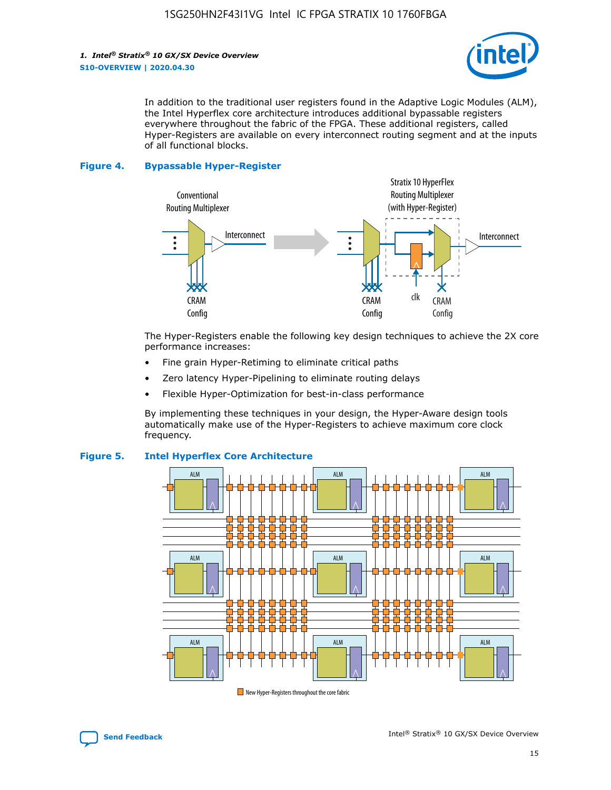

In addition to the traditional user registers found in the Adaptive Logic Modules (ALM), the Intel Hyperflex core architecture introduces additional bypassable registers everywhere throughout the fabric of the FPGA. These additional registers, called Hyper-Registers are available on every interconnect routing segment and at the inputs of all functional blocks.

#### **Figure 4. Bypassable Hyper-Register**



The Hyper-Registers enable the following key design techniques to achieve the 2X core performance increases:

- Fine grain Hyper-Retiming to eliminate critical paths
- Zero latency Hyper-Pipelining to eliminate routing delays
- Flexible Hyper-Optimization for best-in-class performance

By implementing these techniques in your design, the Hyper-Aware design tools automatically make use of the Hyper-Registers to achieve maximum core clock frequency.



### **Figure 5. Intel Hyperflex Core Architecture**

New Hyper-Registers throughout the core fabric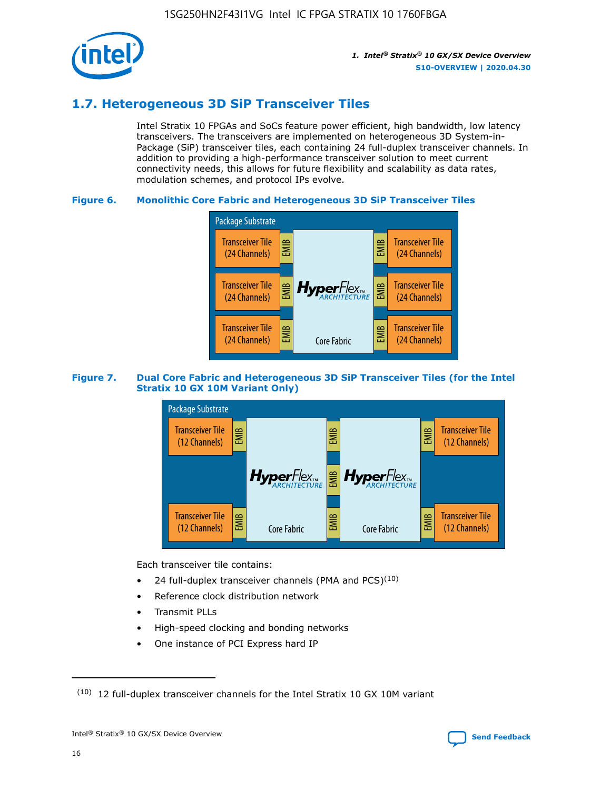

### **1.7. Heterogeneous 3D SiP Transceiver Tiles**

Intel Stratix 10 FPGAs and SoCs feature power efficient, high bandwidth, low latency transceivers. The transceivers are implemented on heterogeneous 3D System-in-Package (SiP) transceiver tiles, each containing 24 full-duplex transceiver channels. In addition to providing a high-performance transceiver solution to meet current connectivity needs, this allows for future flexibility and scalability as data rates, modulation schemes, and protocol IPs evolve.

### **Figure 6. Monolithic Core Fabric and Heterogeneous 3D SiP Transceiver Tiles**



### **Figure 7. Dual Core Fabric and Heterogeneous 3D SiP Transceiver Tiles (for the Intel Stratix 10 GX 10M Variant Only)**



Each transceiver tile contains:

- 24 full-duplex transceiver channels (PMA and PCS) $(10)$
- Reference clock distribution network
- Transmit PLLs
- High-speed clocking and bonding networks
- One instance of PCI Express hard IP

16

 $(10)$  12 full-duplex transceiver channels for the Intel Stratix 10 GX 10M variant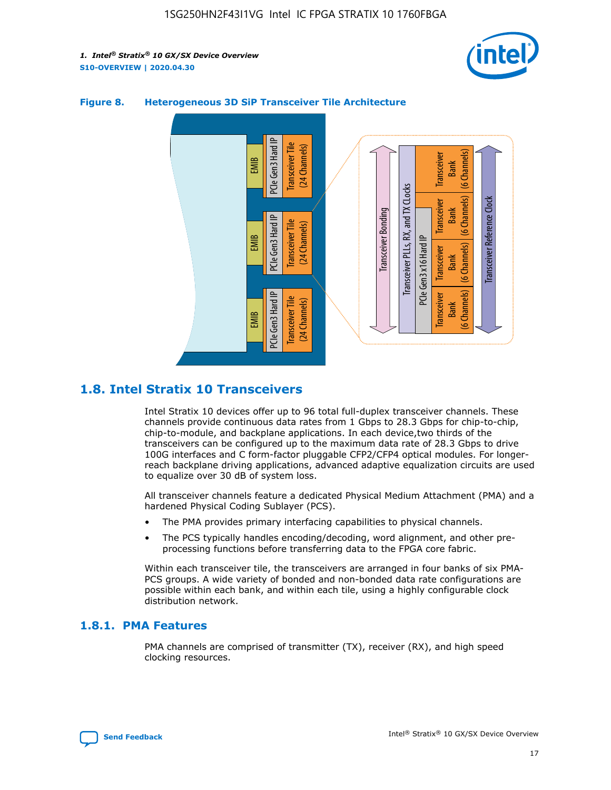



### **Figure 8. Heterogeneous 3D SiP Transceiver Tile Architecture**

### **1.8. Intel Stratix 10 Transceivers**

Intel Stratix 10 devices offer up to 96 total full-duplex transceiver channels. These channels provide continuous data rates from 1 Gbps to 28.3 Gbps for chip-to-chip, chip-to-module, and backplane applications. In each device,two thirds of the transceivers can be configured up to the maximum data rate of 28.3 Gbps to drive 100G interfaces and C form-factor pluggable CFP2/CFP4 optical modules. For longerreach backplane driving applications, advanced adaptive equalization circuits are used to equalize over 30 dB of system loss.

All transceiver channels feature a dedicated Physical Medium Attachment (PMA) and a hardened Physical Coding Sublayer (PCS).

- The PMA provides primary interfacing capabilities to physical channels.
- The PCS typically handles encoding/decoding, word alignment, and other preprocessing functions before transferring data to the FPGA core fabric.

Within each transceiver tile, the transceivers are arranged in four banks of six PMA-PCS groups. A wide variety of bonded and non-bonded data rate configurations are possible within each bank, and within each tile, using a highly configurable clock distribution network.

### **1.8.1. PMA Features**

PMA channels are comprised of transmitter (TX), receiver (RX), and high speed clocking resources.

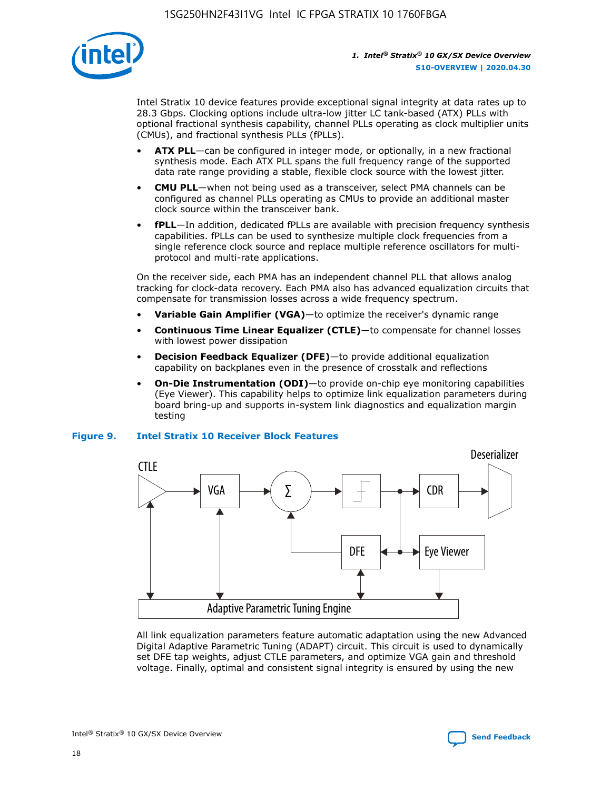

Intel Stratix 10 device features provide exceptional signal integrity at data rates up to 28.3 Gbps. Clocking options include ultra-low jitter LC tank-based (ATX) PLLs with optional fractional synthesis capability, channel PLLs operating as clock multiplier units (CMUs), and fractional synthesis PLLs (fPLLs).

- **ATX PLL**—can be configured in integer mode, or optionally, in a new fractional synthesis mode. Each ATX PLL spans the full frequency range of the supported data rate range providing a stable, flexible clock source with the lowest jitter.
- **CMU PLL**—when not being used as a transceiver, select PMA channels can be configured as channel PLLs operating as CMUs to provide an additional master clock source within the transceiver bank.
- **fPLL**—In addition, dedicated fPLLs are available with precision frequency synthesis capabilities. fPLLs can be used to synthesize multiple clock frequencies from a single reference clock source and replace multiple reference oscillators for multiprotocol and multi-rate applications.

On the receiver side, each PMA has an independent channel PLL that allows analog tracking for clock-data recovery. Each PMA also has advanced equalization circuits that compensate for transmission losses across a wide frequency spectrum.

- **Variable Gain Amplifier (VGA)**—to optimize the receiver's dynamic range
- **Continuous Time Linear Equalizer (CTLE)**—to compensate for channel losses with lowest power dissipation
- **Decision Feedback Equalizer (DFE)**—to provide additional equalization capability on backplanes even in the presence of crosstalk and reflections
- **On-Die Instrumentation (ODI)**—to provide on-chip eye monitoring capabilities (Eye Viewer). This capability helps to optimize link equalization parameters during board bring-up and supports in-system link diagnostics and equalization margin testing

#### **Figure 9. Intel Stratix 10 Receiver Block Features**



All link equalization parameters feature automatic adaptation using the new Advanced Digital Adaptive Parametric Tuning (ADAPT) circuit. This circuit is used to dynamically set DFE tap weights, adjust CTLE parameters, and optimize VGA gain and threshold voltage. Finally, optimal and consistent signal integrity is ensured by using the new



Intel<sup>®</sup> Stratix<sup>®</sup> 10 GX/SX Device Overview **[Send Feedback](mailto:FPGAtechdocfeedback@intel.com?subject=Feedback%20on%20Intel%20Stratix%2010%20GX/SX%20Device%20Overview%20(S10-OVERVIEW%202020.04.30)&body=We%20appreciate%20your%20feedback.%20In%20your%20comments,%20also%20specify%20the%20page%20number%20or%20paragraph.%20Thank%20you.)** Send Feedback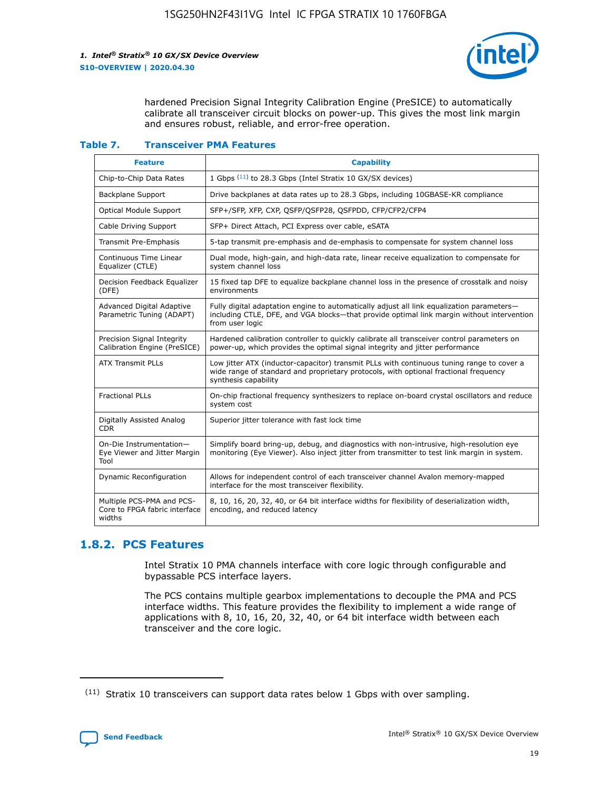

hardened Precision Signal Integrity Calibration Engine (PreSICE) to automatically calibrate all transceiver circuit blocks on power-up. This gives the most link margin and ensures robust, reliable, and error-free operation.

#### **Table 7. Transceiver PMA Features**

| <b>Feature</b>                                                       | <b>Capability</b>                                                                                                                                                                                         |
|----------------------------------------------------------------------|-----------------------------------------------------------------------------------------------------------------------------------------------------------------------------------------------------------|
| Chip-to-Chip Data Rates                                              | 1 Gbps (11) to 28.3 Gbps (Intel Stratix 10 GX/SX devices)                                                                                                                                                 |
| <b>Backplane Support</b>                                             | Drive backplanes at data rates up to 28.3 Gbps, including 10GBASE-KR compliance                                                                                                                           |
| <b>Optical Module Support</b>                                        | SFP+/SFP, XFP, CXP, QSFP/QSFP28, QSFPDD, CFP/CFP2/CFP4                                                                                                                                                    |
| Cable Driving Support                                                | SFP+ Direct Attach, PCI Express over cable, eSATA                                                                                                                                                         |
| <b>Transmit Pre-Emphasis</b>                                         | 5-tap transmit pre-emphasis and de-emphasis to compensate for system channel loss                                                                                                                         |
| Continuous Time Linear<br>Equalizer (CTLE)                           | Dual mode, high-gain, and high-data rate, linear receive equalization to compensate for<br>system channel loss                                                                                            |
| Decision Feedback Equalizer<br>(DFE)                                 | 15 fixed tap DFE to equalize backplane channel loss in the presence of crosstalk and noisy<br>environments                                                                                                |
| Advanced Digital Adaptive<br>Parametric Tuning (ADAPT)               | Fully digital adaptation engine to automatically adjust all link equalization parameters-<br>including CTLE, DFE, and VGA blocks-that provide optimal link margin without intervention<br>from user logic |
| Precision Signal Integrity<br>Calibration Engine (PreSICE)           | Hardened calibration controller to quickly calibrate all transceiver control parameters on<br>power-up, which provides the optimal signal integrity and jitter performance                                |
| <b>ATX Transmit PLLs</b>                                             | Low jitter ATX (inductor-capacitor) transmit PLLs with continuous tuning range to cover a<br>wide range of standard and proprietary protocols, with optional fractional frequency<br>synthesis capability |
| <b>Fractional PLLs</b>                                               | On-chip fractional frequency synthesizers to replace on-board crystal oscillators and reduce<br>system cost                                                                                               |
| Digitally Assisted Analog<br><b>CDR</b>                              | Superior jitter tolerance with fast lock time                                                                                                                                                             |
| On-Die Instrumentation-<br>Eye Viewer and Jitter Margin<br>Tool      | Simplify board bring-up, debug, and diagnostics with non-intrusive, high-resolution eye<br>monitoring (Eye Viewer). Also inject jitter from transmitter to test link margin in system.                    |
| Dynamic Reconfiguration                                              | Allows for independent control of each transceiver channel Avalon memory-mapped<br>interface for the most transceiver flexibility.                                                                        |
| Multiple PCS-PMA and PCS-<br>Core to FPGA fabric interface<br>widths | 8, 10, 16, 20, 32, 40, or 64 bit interface widths for flexibility of deserialization width,<br>encoding, and reduced latency                                                                              |

### **1.8.2. PCS Features**

Intel Stratix 10 PMA channels interface with core logic through configurable and bypassable PCS interface layers.

The PCS contains multiple gearbox implementations to decouple the PMA and PCS interface widths. This feature provides the flexibility to implement a wide range of applications with 8, 10, 16, 20, 32, 40, or 64 bit interface width between each transceiver and the core logic.

<sup>(11)</sup> Stratix 10 transceivers can support data rates below 1 Gbps with over sampling.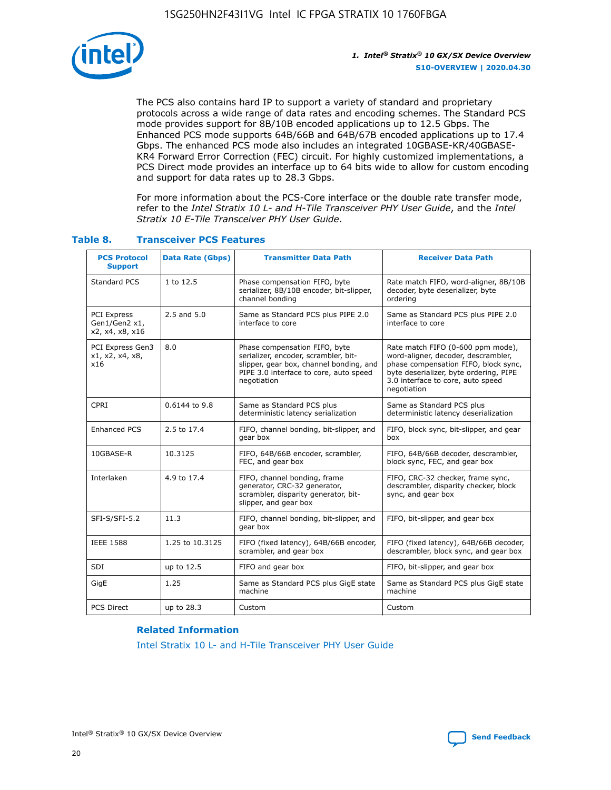

The PCS also contains hard IP to support a variety of standard and proprietary protocols across a wide range of data rates and encoding schemes. The Standard PCS mode provides support for 8B/10B encoded applications up to 12.5 Gbps. The Enhanced PCS mode supports 64B/66B and 64B/67B encoded applications up to 17.4 Gbps. The enhanced PCS mode also includes an integrated 10GBASE-KR/40GBASE-KR4 Forward Error Correction (FEC) circuit. For highly customized implementations, a PCS Direct mode provides an interface up to 64 bits wide to allow for custom encoding and support for data rates up to 28.3 Gbps.

For more information about the PCS-Core interface or the double rate transfer mode, refer to the *Intel Stratix 10 L- and H-Tile Transceiver PHY User Guide*, and the *Intel Stratix 10 E-Tile Transceiver PHY User Guide*.

| <b>PCS Protocol</b><br><b>Support</b>           | <b>Data Rate (Gbps)</b> | <b>Transmitter Data Path</b>                                                                                                                                              | <b>Receiver Data Path</b>                                                                                                                                                                                      |
|-------------------------------------------------|-------------------------|---------------------------------------------------------------------------------------------------------------------------------------------------------------------------|----------------------------------------------------------------------------------------------------------------------------------------------------------------------------------------------------------------|
| Standard PCS                                    | 1 to 12.5               | Phase compensation FIFO, byte<br>serializer, 8B/10B encoder, bit-slipper,<br>channel bonding                                                                              | Rate match FIFO, word-aligner, 8B/10B<br>decoder, byte deserializer, byte<br>ordering                                                                                                                          |
| PCI Express<br>Gen1/Gen2 x1,<br>x2, x4, x8, x16 | $2.5$ and $5.0$         | Same as Standard PCS plus PIPE 2.0<br>interface to core                                                                                                                   | Same as Standard PCS plus PIPE 2.0<br>interface to core                                                                                                                                                        |
| PCI Express Gen3<br>x1, x2, x4, x8,<br>x16      | 8.0                     | Phase compensation FIFO, byte<br>serializer, encoder, scrambler, bit-<br>slipper, gear box, channel bonding, and<br>PIPE 3.0 interface to core, auto speed<br>negotiation | Rate match FIFO (0-600 ppm mode),<br>word-aligner, decoder, descrambler,<br>phase compensation FIFO, block sync,<br>byte deserializer, byte ordering, PIPE<br>3.0 interface to core, auto speed<br>negotiation |
| CPRI                                            | 0.6144 to 9.8           | Same as Standard PCS plus<br>deterministic latency serialization                                                                                                          | Same as Standard PCS plus<br>deterministic latency deserialization                                                                                                                                             |
| <b>Enhanced PCS</b>                             | 2.5 to 17.4             | FIFO, channel bonding, bit-slipper, and<br>gear box                                                                                                                       | FIFO, block sync, bit-slipper, and gear<br>box                                                                                                                                                                 |
| 10GBASE-R                                       | 10.3125                 | FIFO, 64B/66B encoder, scrambler,<br>FEC, and gear box                                                                                                                    | FIFO, 64B/66B decoder, descrambler,<br>block sync, FEC, and gear box                                                                                                                                           |
| Interlaken                                      | 4.9 to 17.4             | FIFO, channel bonding, frame<br>generator, CRC-32 generator,<br>scrambler, disparity generator, bit-<br>slipper, and gear box                                             | FIFO, CRC-32 checker, frame sync,<br>descrambler, disparity checker, block<br>sync, and gear box                                                                                                               |
| SFI-S/SFI-5.2                                   | 11.3                    | FIFO, channel bonding, bit-slipper, and<br>gear box                                                                                                                       | FIFO, bit-slipper, and gear box                                                                                                                                                                                |
| <b>IEEE 1588</b>                                | 1.25 to 10.3125         | FIFO (fixed latency), 64B/66B encoder,<br>scrambler, and gear box                                                                                                         | FIFO (fixed latency), 64B/66B decoder,<br>descrambler, block sync, and gear box                                                                                                                                |
| SDI                                             | up to 12.5              | FIFO and gear box                                                                                                                                                         | FIFO, bit-slipper, and gear box                                                                                                                                                                                |
| GigE                                            | 1.25                    | Same as Standard PCS plus GigE state<br>machine                                                                                                                           | Same as Standard PCS plus GigE state<br>machine                                                                                                                                                                |
| <b>PCS Direct</b>                               | up to 28.3              | Custom                                                                                                                                                                    | Custom                                                                                                                                                                                                         |

### **Table 8. Transceiver PCS Features**

#### **Related Information**

[Intel Stratix 10 L- and H-Tile Transceiver PHY User Guide](https://www.altera.com/documentation/wry1479165198810.html)

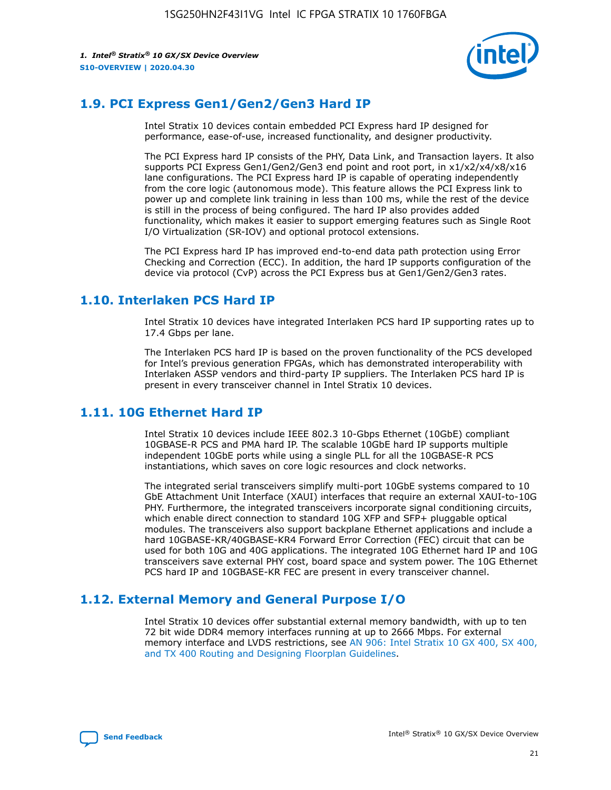

### **1.9. PCI Express Gen1/Gen2/Gen3 Hard IP**

Intel Stratix 10 devices contain embedded PCI Express hard IP designed for performance, ease-of-use, increased functionality, and designer productivity.

The PCI Express hard IP consists of the PHY, Data Link, and Transaction layers. It also supports PCI Express Gen1/Gen2/Gen3 end point and root port, in x1/x2/x4/x8/x16 lane configurations. The PCI Express hard IP is capable of operating independently from the core logic (autonomous mode). This feature allows the PCI Express link to power up and complete link training in less than 100 ms, while the rest of the device is still in the process of being configured. The hard IP also provides added functionality, which makes it easier to support emerging features such as Single Root I/O Virtualization (SR-IOV) and optional protocol extensions.

The PCI Express hard IP has improved end-to-end data path protection using Error Checking and Correction (ECC). In addition, the hard IP supports configuration of the device via protocol (CvP) across the PCI Express bus at Gen1/Gen2/Gen3 rates.

### **1.10. Interlaken PCS Hard IP**

Intel Stratix 10 devices have integrated Interlaken PCS hard IP supporting rates up to 17.4 Gbps per lane.

The Interlaken PCS hard IP is based on the proven functionality of the PCS developed for Intel's previous generation FPGAs, which has demonstrated interoperability with Interlaken ASSP vendors and third-party IP suppliers. The Interlaken PCS hard IP is present in every transceiver channel in Intel Stratix 10 devices.

### **1.11. 10G Ethernet Hard IP**

Intel Stratix 10 devices include IEEE 802.3 10-Gbps Ethernet (10GbE) compliant 10GBASE-R PCS and PMA hard IP. The scalable 10GbE hard IP supports multiple independent 10GbE ports while using a single PLL for all the 10GBASE-R PCS instantiations, which saves on core logic resources and clock networks.

The integrated serial transceivers simplify multi-port 10GbE systems compared to 10 GbE Attachment Unit Interface (XAUI) interfaces that require an external XAUI-to-10G PHY. Furthermore, the integrated transceivers incorporate signal conditioning circuits, which enable direct connection to standard 10G XFP and SFP+ pluggable optical modules. The transceivers also support backplane Ethernet applications and include a hard 10GBASE-KR/40GBASE-KR4 Forward Error Correction (FEC) circuit that can be used for both 10G and 40G applications. The integrated 10G Ethernet hard IP and 10G transceivers save external PHY cost, board space and system power. The 10G Ethernet PCS hard IP and 10GBASE-KR FEC are present in every transceiver channel.

### **1.12. External Memory and General Purpose I/O**

Intel Stratix 10 devices offer substantial external memory bandwidth, with up to ten 72 bit wide DDR4 memory interfaces running at up to 2666 Mbps. For external memory interface and LVDS restrictions, see [AN 906: Intel Stratix 10 GX 400, SX 400,](https://www.intel.com/content/www/us/en/programmable/documentation/sjf1574667190623.html#bft1574667627484) [and TX 400 Routing and Designing Floorplan Guidelines.](https://www.intel.com/content/www/us/en/programmable/documentation/sjf1574667190623.html#bft1574667627484)

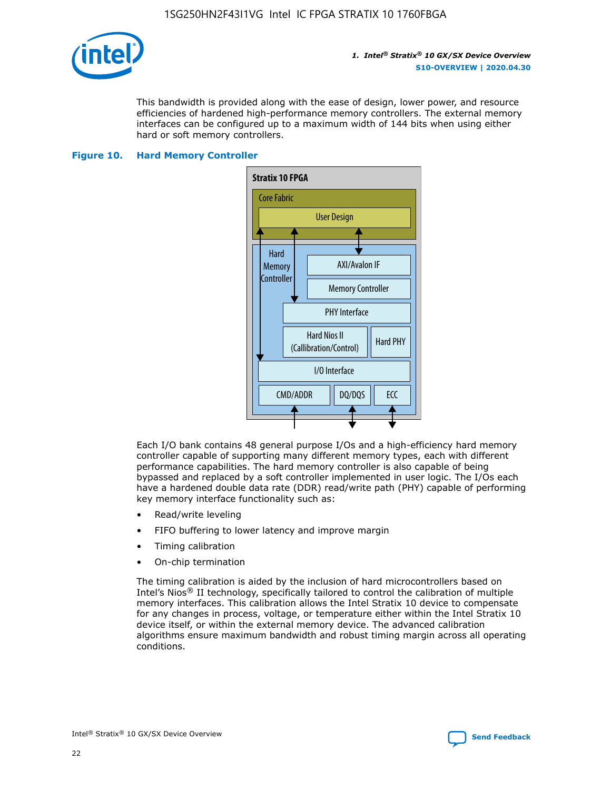

This bandwidth is provided along with the ease of design, lower power, and resource efficiencies of hardened high-performance memory controllers. The external memory interfaces can be configured up to a maximum width of 144 bits when using either hard or soft memory controllers.

#### **Figure 10. Hard Memory Controller**



Each I/O bank contains 48 general purpose I/Os and a high-efficiency hard memory controller capable of supporting many different memory types, each with different performance capabilities. The hard memory controller is also capable of being bypassed and replaced by a soft controller implemented in user logic. The I/Os each have a hardened double data rate (DDR) read/write path (PHY) capable of performing key memory interface functionality such as:

- Read/write leveling
- FIFO buffering to lower latency and improve margin
- Timing calibration
- On-chip termination

The timing calibration is aided by the inclusion of hard microcontrollers based on Intel's Nios® II technology, specifically tailored to control the calibration of multiple memory interfaces. This calibration allows the Intel Stratix 10 device to compensate for any changes in process, voltage, or temperature either within the Intel Stratix 10 device itself, or within the external memory device. The advanced calibration algorithms ensure maximum bandwidth and robust timing margin across all operating conditions.

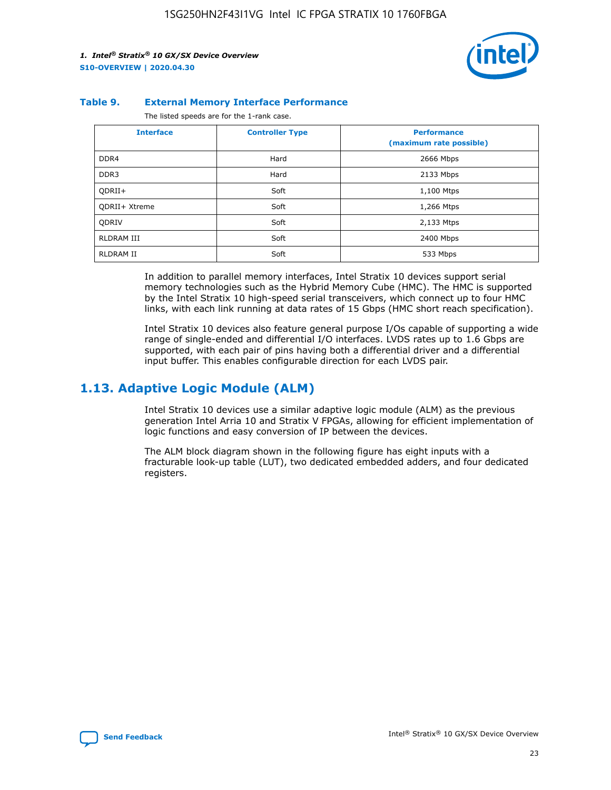

#### **Table 9. External Memory Interface Performance**

The listed speeds are for the 1-rank case.

| <b>Interface</b>     | <b>Controller Type</b> | <b>Performance</b><br>(maximum rate possible) |
|----------------------|------------------------|-----------------------------------------------|
| DDR4                 | Hard                   | 2666 Mbps                                     |
| DDR <sub>3</sub>     | Hard                   | 2133 Mbps                                     |
| QDRII+               | Soft                   | 1,100 Mtps                                    |
| <b>ODRII+ Xtreme</b> | Soft                   | 1,266 Mtps                                    |
| <b>ODRIV</b>         | Soft                   | 2,133 Mtps                                    |
| RLDRAM III           | Soft                   | 2400 Mbps                                     |
| <b>RLDRAM II</b>     | Soft                   | 533 Mbps                                      |

In addition to parallel memory interfaces, Intel Stratix 10 devices support serial memory technologies such as the Hybrid Memory Cube (HMC). The HMC is supported by the Intel Stratix 10 high-speed serial transceivers, which connect up to four HMC links, with each link running at data rates of 15 Gbps (HMC short reach specification).

Intel Stratix 10 devices also feature general purpose I/Os capable of supporting a wide range of single-ended and differential I/O interfaces. LVDS rates up to 1.6 Gbps are supported, with each pair of pins having both a differential driver and a differential input buffer. This enables configurable direction for each LVDS pair.

### **1.13. Adaptive Logic Module (ALM)**

Intel Stratix 10 devices use a similar adaptive logic module (ALM) as the previous generation Intel Arria 10 and Stratix V FPGAs, allowing for efficient implementation of logic functions and easy conversion of IP between the devices.

The ALM block diagram shown in the following figure has eight inputs with a fracturable look-up table (LUT), two dedicated embedded adders, and four dedicated registers.

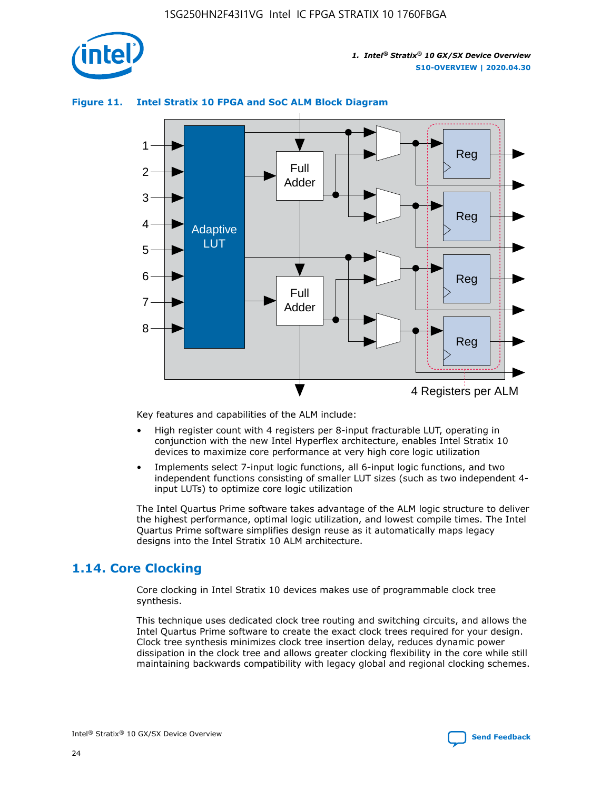

### **Figure 11. Intel Stratix 10 FPGA and SoC ALM Block Diagram**



Key features and capabilities of the ALM include:

- High register count with 4 registers per 8-input fracturable LUT, operating in conjunction with the new Intel Hyperflex architecture, enables Intel Stratix 10 devices to maximize core performance at very high core logic utilization
- Implements select 7-input logic functions, all 6-input logic functions, and two independent functions consisting of smaller LUT sizes (such as two independent 4 input LUTs) to optimize core logic utilization

The Intel Quartus Prime software takes advantage of the ALM logic structure to deliver the highest performance, optimal logic utilization, and lowest compile times. The Intel Quartus Prime software simplifies design reuse as it automatically maps legacy designs into the Intel Stratix 10 ALM architecture.

### **1.14. Core Clocking**

Core clocking in Intel Stratix 10 devices makes use of programmable clock tree synthesis.

This technique uses dedicated clock tree routing and switching circuits, and allows the Intel Quartus Prime software to create the exact clock trees required for your design. Clock tree synthesis minimizes clock tree insertion delay, reduces dynamic power dissipation in the clock tree and allows greater clocking flexibility in the core while still maintaining backwards compatibility with legacy global and regional clocking schemes.

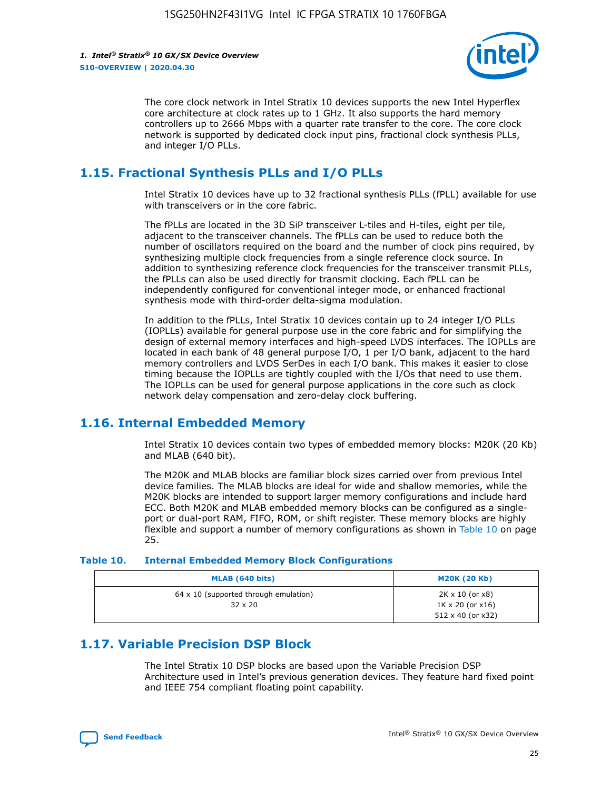

The core clock network in Intel Stratix 10 devices supports the new Intel Hyperflex core architecture at clock rates up to 1 GHz. It also supports the hard memory controllers up to 2666 Mbps with a quarter rate transfer to the core. The core clock network is supported by dedicated clock input pins, fractional clock synthesis PLLs, and integer I/O PLLs.

### **1.15. Fractional Synthesis PLLs and I/O PLLs**

Intel Stratix 10 devices have up to 32 fractional synthesis PLLs (fPLL) available for use with transceivers or in the core fabric.

The fPLLs are located in the 3D SiP transceiver L-tiles and H-tiles, eight per tile, adjacent to the transceiver channels. The fPLLs can be used to reduce both the number of oscillators required on the board and the number of clock pins required, by synthesizing multiple clock frequencies from a single reference clock source. In addition to synthesizing reference clock frequencies for the transceiver transmit PLLs, the fPLLs can also be used directly for transmit clocking. Each fPLL can be independently configured for conventional integer mode, or enhanced fractional synthesis mode with third-order delta-sigma modulation.

In addition to the fPLLs, Intel Stratix 10 devices contain up to 24 integer I/O PLLs (IOPLLs) available for general purpose use in the core fabric and for simplifying the design of external memory interfaces and high-speed LVDS interfaces. The IOPLLs are located in each bank of 48 general purpose I/O, 1 per I/O bank, adjacent to the hard memory controllers and LVDS SerDes in each I/O bank. This makes it easier to close timing because the IOPLLs are tightly coupled with the I/Os that need to use them. The IOPLLs can be used for general purpose applications in the core such as clock network delay compensation and zero-delay clock buffering.

### **1.16. Internal Embedded Memory**

Intel Stratix 10 devices contain two types of embedded memory blocks: M20K (20 Kb) and MLAB (640 bit).

The M20K and MLAB blocks are familiar block sizes carried over from previous Intel device families. The MLAB blocks are ideal for wide and shallow memories, while the M20K blocks are intended to support larger memory configurations and include hard ECC. Both M20K and MLAB embedded memory blocks can be configured as a singleport or dual-port RAM, FIFO, ROM, or shift register. These memory blocks are highly flexible and support a number of memory configurations as shown in Table 10 on page 25.

#### **Table 10. Internal Embedded Memory Block Configurations**

| MLAB (640 bits)                                                | <b>M20K (20 Kb)</b>                                                                    |
|----------------------------------------------------------------|----------------------------------------------------------------------------------------|
| $64 \times 10$ (supported through emulation)<br>$32 \times 20$ | $2K \times 10$ (or $x8$ )<br>$1K \times 20$ (or $x16$ )<br>$512 \times 40$ (or $x32$ ) |

### **1.17. Variable Precision DSP Block**

The Intel Stratix 10 DSP blocks are based upon the Variable Precision DSP Architecture used in Intel's previous generation devices. They feature hard fixed point and IEEE 754 compliant floating point capability.

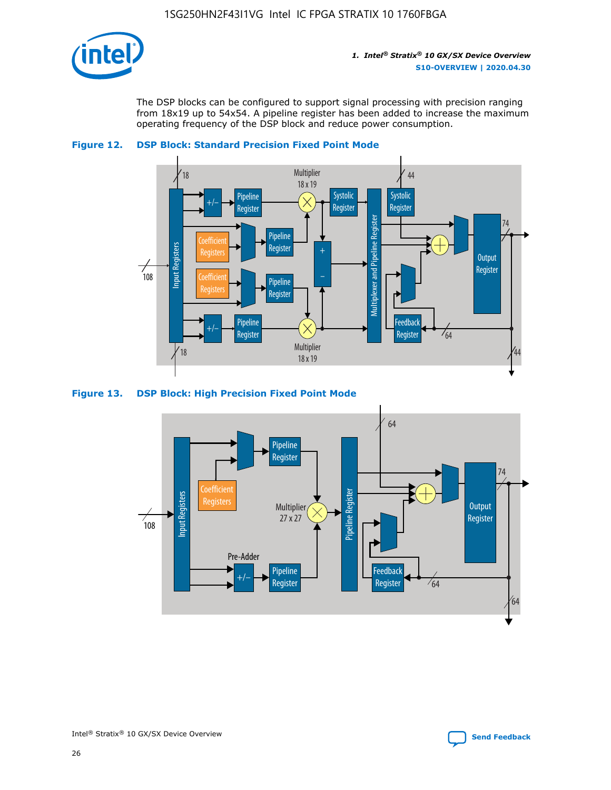

The DSP blocks can be configured to support signal processing with precision ranging from 18x19 up to 54x54. A pipeline register has been added to increase the maximum operating frequency of the DSP block and reduce power consumption.





#### **Figure 13. DSP Block: High Precision Fixed Point Mode**

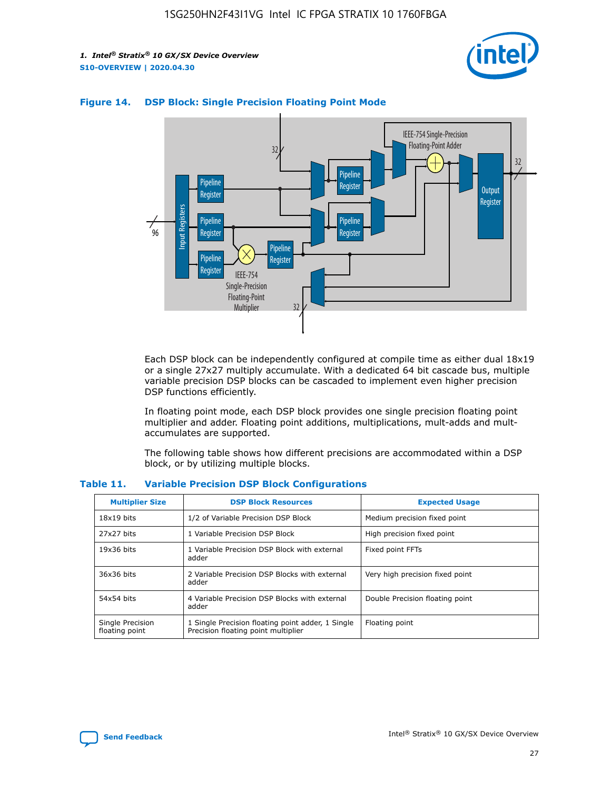



### **Figure 14. DSP Block: Single Precision Floating Point Mode**

Each DSP block can be independently configured at compile time as either dual 18x19 or a single 27x27 multiply accumulate. With a dedicated 64 bit cascade bus, multiple variable precision DSP blocks can be cascaded to implement even higher precision DSP functions efficiently.

In floating point mode, each DSP block provides one single precision floating point multiplier and adder. Floating point additions, multiplications, mult-adds and multaccumulates are supported.

The following table shows how different precisions are accommodated within a DSP block, or by utilizing multiple blocks.

| <b>Multiplier Size</b>             | <b>DSP Block Resources</b>                                                               | <b>Expected Usage</b>           |
|------------------------------------|------------------------------------------------------------------------------------------|---------------------------------|
| $18x19$ bits                       | 1/2 of Variable Precision DSP Block                                                      | Medium precision fixed point    |
| 27x27 bits                         | 1 Variable Precision DSP Block                                                           | High precision fixed point      |
| $19x36$ bits                       | 1 Variable Precision DSP Block with external<br>adder                                    | Fixed point FFTs                |
| 36x36 bits                         | 2 Variable Precision DSP Blocks with external<br>adder                                   | Very high precision fixed point |
| 54x54 bits                         | 4 Variable Precision DSP Blocks with external<br>adder                                   | Double Precision floating point |
| Single Precision<br>floating point | 1 Single Precision floating point adder, 1 Single<br>Precision floating point multiplier | Floating point                  |

#### **Table 11. Variable Precision DSP Block Configurations**

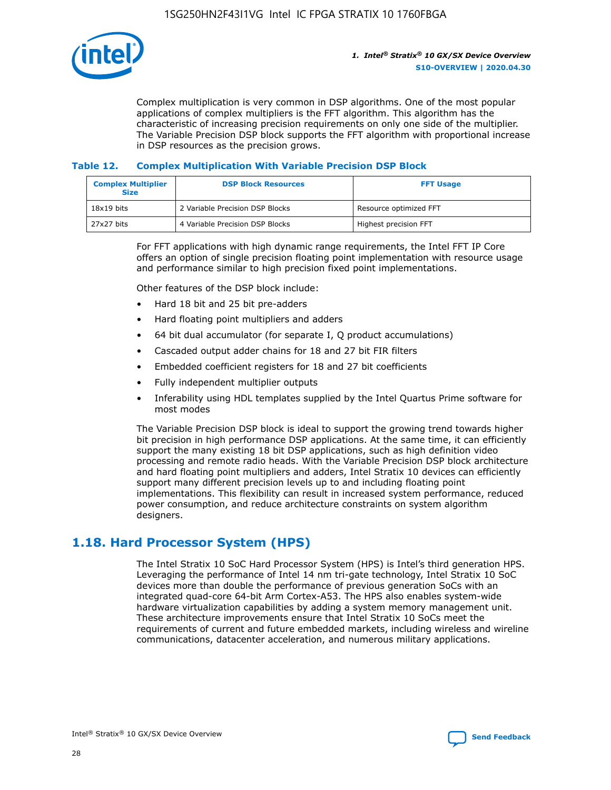

Complex multiplication is very common in DSP algorithms. One of the most popular applications of complex multipliers is the FFT algorithm. This algorithm has the characteristic of increasing precision requirements on only one side of the multiplier. The Variable Precision DSP block supports the FFT algorithm with proportional increase in DSP resources as the precision grows.

### **Table 12. Complex Multiplication With Variable Precision DSP Block**

| <b>Complex Multiplier</b><br><b>Size</b> | <b>DSP Block Resources</b>      | <b>FFT Usage</b>       |
|------------------------------------------|---------------------------------|------------------------|
| $18x19$ bits                             | 2 Variable Precision DSP Blocks | Resource optimized FFT |
| $27x27$ bits                             | 4 Variable Precision DSP Blocks | Highest precision FFT  |

For FFT applications with high dynamic range requirements, the Intel FFT IP Core offers an option of single precision floating point implementation with resource usage and performance similar to high precision fixed point implementations.

Other features of the DSP block include:

- Hard 18 bit and 25 bit pre-adders
- Hard floating point multipliers and adders
- 64 bit dual accumulator (for separate I, Q product accumulations)
- Cascaded output adder chains for 18 and 27 bit FIR filters
- Embedded coefficient registers for 18 and 27 bit coefficients
- Fully independent multiplier outputs
- Inferability using HDL templates supplied by the Intel Quartus Prime software for most modes

The Variable Precision DSP block is ideal to support the growing trend towards higher bit precision in high performance DSP applications. At the same time, it can efficiently support the many existing 18 bit DSP applications, such as high definition video processing and remote radio heads. With the Variable Precision DSP block architecture and hard floating point multipliers and adders, Intel Stratix 10 devices can efficiently support many different precision levels up to and including floating point implementations. This flexibility can result in increased system performance, reduced power consumption, and reduce architecture constraints on system algorithm designers.

### **1.18. Hard Processor System (HPS)**

The Intel Stratix 10 SoC Hard Processor System (HPS) is Intel's third generation HPS. Leveraging the performance of Intel 14 nm tri-gate technology, Intel Stratix 10 SoC devices more than double the performance of previous generation SoCs with an integrated quad-core 64-bit Arm Cortex-A53. The HPS also enables system-wide hardware virtualization capabilities by adding a system memory management unit. These architecture improvements ensure that Intel Stratix 10 SoCs meet the requirements of current and future embedded markets, including wireless and wireline communications, datacenter acceleration, and numerous military applications.

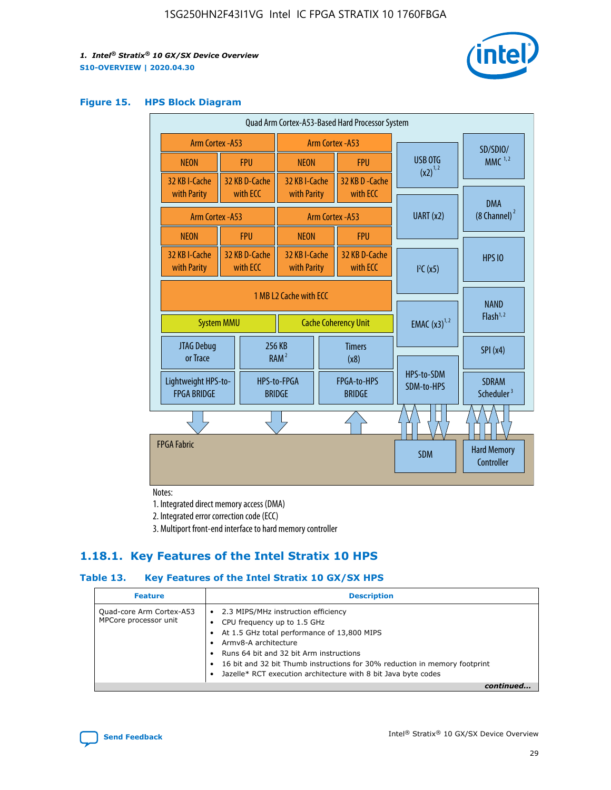

#### **Figure 15. HPS Block Diagram**

| Quad Arm Cortex-A53-Based Hard Processor System |                        |                           |                              |                             |                              |                         |                          |                                        |
|-------------------------------------------------|------------------------|---------------------------|------------------------------|-----------------------------|------------------------------|-------------------------|--------------------------|----------------------------------------|
| <b>Arm Cortex - A53</b>                         |                        |                           | Arm Cortex - A53             |                             |                              |                         | SD/SDIO/                 |                                        |
| <b>NEON</b>                                     |                        | <b>FPU</b>                | <b>NEON</b>                  |                             | <b>FPU</b>                   |                         | USB OTG                  | $MMC$ <sup>1,2</sup>                   |
| 32 KB I-Cache                                   |                        | 32 KB D-Cache             | 32 KB I-Cache                |                             | 32 KB D - Cache              |                         | $(x2)^{1,2}$             |                                        |
| with Parity                                     |                        | with ECC                  | with Parity                  |                             | with ECC                     |                         |                          | <b>DMA</b>                             |
| Arm Cortex - A53                                |                        |                           | Arm Cortex - A53             |                             | UART (x2)                    | $(8 \text{ Channel})^2$ |                          |                                        |
| <b>NEON</b>                                     |                        | <b>FPU</b>                | <b>NEON</b>                  |                             | <b>FPU</b>                   |                         |                          |                                        |
| 32 KB I-Cache<br>with Parity                    |                        | 32 KB D-Cache<br>with ECC | 32 KB I-Cache<br>with Parity |                             | 32 KB D-Cache<br>with ECC    |                         | I <sup>2</sup> C(x5)     | <b>HPS 10</b>                          |
|                                                 | 1 MB L2 Cache with ECC |                           |                              |                             |                              |                         |                          |                                        |
| <b>System MMU</b>                               |                        |                           |                              | <b>Cache Coherency Unit</b> |                              |                         | <b>EMAC</b> $(x3)^{1,2}$ | <b>NAND</b><br>Flash <sup>1,2</sup>    |
| JTAG Debug<br>or Trace                          |                        |                           | 256 KB<br>RAM <sup>2</sup>   | <b>Timers</b><br>(x8)       |                              |                         |                          | SPI(x4)                                |
| Lightweight HPS-to-<br><b>FPGA BRIDGE</b>       |                        |                           | HPS-to-FPGA<br><b>BRIDGE</b> |                             | FPGA-to-HPS<br><b>BRIDGE</b> |                         | HPS-to-SDM<br>SDM-to-HPS | <b>SDRAM</b><br>Scheduler <sup>3</sup> |
|                                                 |                        |                           |                              |                             |                              |                         |                          |                                        |
| <b>FPGA Fabric</b>                              |                        |                           |                              |                             |                              |                         | <b>SDM</b>               | <b>Hard Memory</b><br>Controller       |
|                                                 |                        |                           |                              |                             |                              |                         |                          |                                        |

Notes:

1. Integrated direct memory access (DMA)

2. Integrated error correction code (ECC)

3. Multiport front-end interface to hard memory controller

### **1.18.1. Key Features of the Intel Stratix 10 HPS**

### **Table 13. Key Features of the Intel Stratix 10 GX/SX HPS**

| <b>Feature</b>                                    | <b>Description</b>                                                                                                                                                                                                                                                                                                                                     |
|---------------------------------------------------|--------------------------------------------------------------------------------------------------------------------------------------------------------------------------------------------------------------------------------------------------------------------------------------------------------------------------------------------------------|
| Quad-core Arm Cortex-A53<br>MPCore processor unit | 2.3 MIPS/MHz instruction efficiency<br>$\bullet$<br>CPU frequency up to 1.5 GHz<br>٠<br>At 1.5 GHz total performance of 13,800 MIPS<br>Army8-A architecture<br>Runs 64 bit and 32 bit Arm instructions<br>16 bit and 32 bit Thumb instructions for 30% reduction in memory footprint<br>Jazelle* RCT execution architecture with 8 bit Java byte codes |
|                                                   |                                                                                                                                                                                                                                                                                                                                                        |

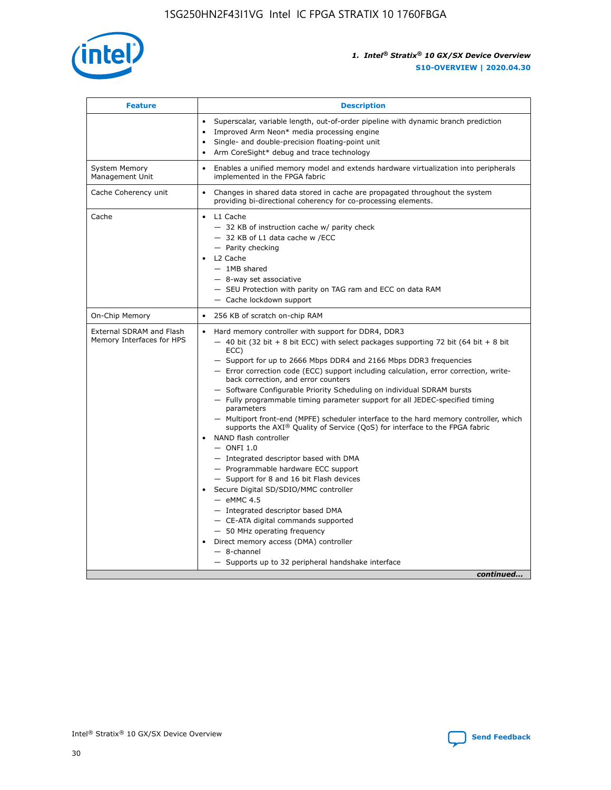

| <b>Feature</b>                                        | <b>Description</b>                                                                                                                                                                                                                                                                                                                                                                                                                                                                                                                                                                                                                                                                                                                                                                                                                                                                                                                                                                                                                                                                                                                                                                                                     |
|-------------------------------------------------------|------------------------------------------------------------------------------------------------------------------------------------------------------------------------------------------------------------------------------------------------------------------------------------------------------------------------------------------------------------------------------------------------------------------------------------------------------------------------------------------------------------------------------------------------------------------------------------------------------------------------------------------------------------------------------------------------------------------------------------------------------------------------------------------------------------------------------------------------------------------------------------------------------------------------------------------------------------------------------------------------------------------------------------------------------------------------------------------------------------------------------------------------------------------------------------------------------------------------|
|                                                       | Superscalar, variable length, out-of-order pipeline with dynamic branch prediction<br>Improved Arm Neon* media processing engine<br>$\bullet$<br>Single- and double-precision floating-point unit<br>Arm CoreSight* debug and trace technology<br>$\bullet$                                                                                                                                                                                                                                                                                                                                                                                                                                                                                                                                                                                                                                                                                                                                                                                                                                                                                                                                                            |
| <b>System Memory</b><br>Management Unit               | Enables a unified memory model and extends hardware virtualization into peripherals<br>$\bullet$<br>implemented in the FPGA fabric                                                                                                                                                                                                                                                                                                                                                                                                                                                                                                                                                                                                                                                                                                                                                                                                                                                                                                                                                                                                                                                                                     |
| Cache Coherency unit                                  | $\bullet$<br>Changes in shared data stored in cache are propagated throughout the system<br>providing bi-directional coherency for co-processing elements.                                                                                                                                                                                                                                                                                                                                                                                                                                                                                                                                                                                                                                                                                                                                                                                                                                                                                                                                                                                                                                                             |
| Cache                                                 | L1 Cache<br>$\bullet$<br>- 32 KB of instruction cache w/ parity check<br>- 32 KB of L1 data cache w /ECC<br>- Parity checking<br>L2 Cache<br>$-$ 1MB shared<br>- 8-way set associative<br>- SEU Protection with parity on TAG ram and ECC on data RAM<br>- Cache lockdown support                                                                                                                                                                                                                                                                                                                                                                                                                                                                                                                                                                                                                                                                                                                                                                                                                                                                                                                                      |
| On-Chip Memory                                        | 256 KB of scratch on-chip RAM<br>$\bullet$                                                                                                                                                                                                                                                                                                                                                                                                                                                                                                                                                                                                                                                                                                                                                                                                                                                                                                                                                                                                                                                                                                                                                                             |
| External SDRAM and Flash<br>Memory Interfaces for HPS | Hard memory controller with support for DDR4, DDR3<br>$\bullet$<br>$-$ 40 bit (32 bit + 8 bit ECC) with select packages supporting 72 bit (64 bit + 8 bit<br>ECC)<br>- Support for up to 2666 Mbps DDR4 and 2166 Mbps DDR3 frequencies<br>- Error correction code (ECC) support including calculation, error correction, write-<br>back correction, and error counters<br>- Software Configurable Priority Scheduling on individual SDRAM bursts<br>- Fully programmable timing parameter support for all JEDEC-specified timing<br>parameters<br>- Multiport front-end (MPFE) scheduler interface to the hard memory controller, which<br>supports the $AXI^{\circledR}$ Quality of Service (QoS) for interface to the FPGA fabric<br>NAND flash controller<br>$-$ ONFI 1.0<br>- Integrated descriptor based with DMA<br>- Programmable hardware ECC support<br>- Support for 8 and 16 bit Flash devices<br>Secure Digital SD/SDIO/MMC controller<br>$-$ eMMC 4.5<br>- Integrated descriptor based DMA<br>- CE-ATA digital commands supported<br>- 50 MHz operating frequency<br>Direct memory access (DMA) controller<br>$\bullet$<br>- 8-channel<br>- Supports up to 32 peripheral handshake interface<br>continued |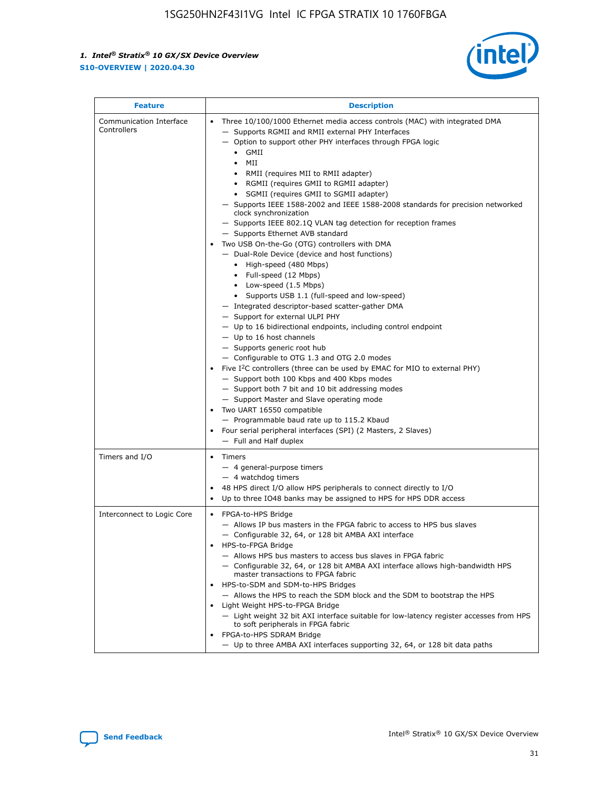

| <b>Feature</b>                         | <b>Description</b>                                                                                                                                                                                                                                                                                                                                                                                                                                                                                                                                                                                                                                                                                                                                                                                                                                                                                                                                                                                                                                                                                                                                                                                                                                                                                                                                                                                                                                                                                          |
|----------------------------------------|-------------------------------------------------------------------------------------------------------------------------------------------------------------------------------------------------------------------------------------------------------------------------------------------------------------------------------------------------------------------------------------------------------------------------------------------------------------------------------------------------------------------------------------------------------------------------------------------------------------------------------------------------------------------------------------------------------------------------------------------------------------------------------------------------------------------------------------------------------------------------------------------------------------------------------------------------------------------------------------------------------------------------------------------------------------------------------------------------------------------------------------------------------------------------------------------------------------------------------------------------------------------------------------------------------------------------------------------------------------------------------------------------------------------------------------------------------------------------------------------------------------|
| Communication Interface<br>Controllers | Three 10/100/1000 Ethernet media access controls (MAC) with integrated DMA<br>- Supports RGMII and RMII external PHY Interfaces<br>- Option to support other PHY interfaces through FPGA logic<br>$\bullet$ GMII<br>MII<br>$\bullet$<br>RMII (requires MII to RMII adapter)<br>• RGMII (requires GMII to RGMII adapter)<br>• SGMII (requires GMII to SGMII adapter)<br>- Supports IEEE 1588-2002 and IEEE 1588-2008 standards for precision networked<br>clock synchronization<br>- Supports IEEE 802.1Q VLAN tag detection for reception frames<br>- Supports Ethernet AVB standard<br>Two USB On-the-Go (OTG) controllers with DMA<br>- Dual-Role Device (device and host functions)<br>• High-speed (480 Mbps)<br>• Full-speed (12 Mbps)<br>• Low-speed (1.5 Mbps)<br>• Supports USB 1.1 (full-speed and low-speed)<br>- Integrated descriptor-based scatter-gather DMA<br>- Support for external ULPI PHY<br>- Up to 16 bidirectional endpoints, including control endpoint<br>$-$ Up to 16 host channels<br>- Supports generic root hub<br>- Configurable to OTG 1.3 and OTG 2.0 modes<br>Five I <sup>2</sup> C controllers (three can be used by EMAC for MIO to external PHY)<br>- Support both 100 Kbps and 400 Kbps modes<br>- Support both 7 bit and 10 bit addressing modes<br>- Support Master and Slave operating mode<br>Two UART 16550 compatible<br>- Programmable baud rate up to 115.2 Kbaud<br>• Four serial peripheral interfaces (SPI) (2 Masters, 2 Slaves)<br>- Full and Half duplex |
| Timers and I/O                         | • Timers<br>- 4 general-purpose timers<br>$-4$ watchdog timers<br>48 HPS direct I/O allow HPS peripherals to connect directly to I/O<br>Up to three IO48 banks may be assigned to HPS for HPS DDR access                                                                                                                                                                                                                                                                                                                                                                                                                                                                                                                                                                                                                                                                                                                                                                                                                                                                                                                                                                                                                                                                                                                                                                                                                                                                                                    |
| Interconnect to Logic Core             | • FPGA-to-HPS Bridge<br>- Allows IP bus masters in the FPGA fabric to access to HPS bus slaves<br>- Configurable 32, 64, or 128 bit AMBA AXI interface<br>HPS-to-FPGA Bridge<br>- Allows HPS bus masters to access bus slaves in FPGA fabric<br>- Configurable 32, 64, or 128 bit AMBA AXI interface allows high-bandwidth HPS<br>master transactions to FPGA fabric<br>HPS-to-SDM and SDM-to-HPS Bridges<br>- Allows the HPS to reach the SDM block and the SDM to bootstrap the HPS<br>Light Weight HPS-to-FPGA Bridge<br>- Light weight 32 bit AXI interface suitable for low-latency register accesses from HPS<br>to soft peripherals in FPGA fabric<br>FPGA-to-HPS SDRAM Bridge<br>- Up to three AMBA AXI interfaces supporting 32, 64, or 128 bit data paths                                                                                                                                                                                                                                                                                                                                                                                                                                                                                                                                                                                                                                                                                                                                         |

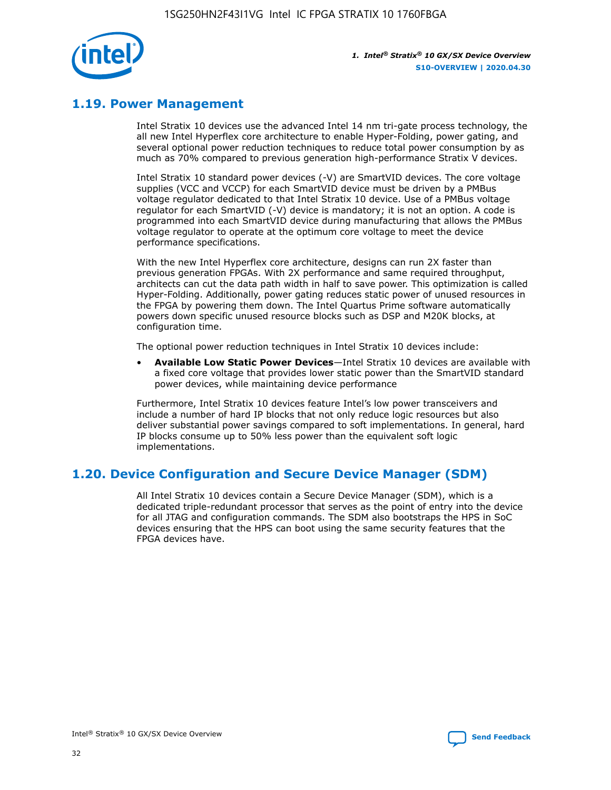

### **1.19. Power Management**

Intel Stratix 10 devices use the advanced Intel 14 nm tri-gate process technology, the all new Intel Hyperflex core architecture to enable Hyper-Folding, power gating, and several optional power reduction techniques to reduce total power consumption by as much as 70% compared to previous generation high-performance Stratix V devices.

Intel Stratix 10 standard power devices (-V) are SmartVID devices. The core voltage supplies (VCC and VCCP) for each SmartVID device must be driven by a PMBus voltage regulator dedicated to that Intel Stratix 10 device. Use of a PMBus voltage regulator for each SmartVID (-V) device is mandatory; it is not an option. A code is programmed into each SmartVID device during manufacturing that allows the PMBus voltage regulator to operate at the optimum core voltage to meet the device performance specifications.

With the new Intel Hyperflex core architecture, designs can run 2X faster than previous generation FPGAs. With 2X performance and same required throughput, architects can cut the data path width in half to save power. This optimization is called Hyper-Folding. Additionally, power gating reduces static power of unused resources in the FPGA by powering them down. The Intel Quartus Prime software automatically powers down specific unused resource blocks such as DSP and M20K blocks, at configuration time.

The optional power reduction techniques in Intel Stratix 10 devices include:

• **Available Low Static Power Devices**—Intel Stratix 10 devices are available with a fixed core voltage that provides lower static power than the SmartVID standard power devices, while maintaining device performance

Furthermore, Intel Stratix 10 devices feature Intel's low power transceivers and include a number of hard IP blocks that not only reduce logic resources but also deliver substantial power savings compared to soft implementations. In general, hard IP blocks consume up to 50% less power than the equivalent soft logic implementations.

### **1.20. Device Configuration and Secure Device Manager (SDM)**

All Intel Stratix 10 devices contain a Secure Device Manager (SDM), which is a dedicated triple-redundant processor that serves as the point of entry into the device for all JTAG and configuration commands. The SDM also bootstraps the HPS in SoC devices ensuring that the HPS can boot using the same security features that the FPGA devices have.

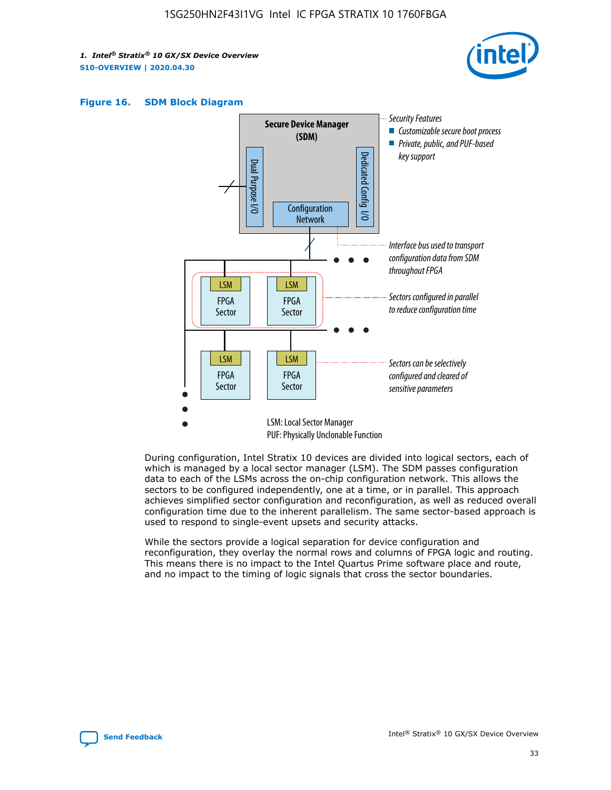





During configuration, Intel Stratix 10 devices are divided into logical sectors, each of which is managed by a local sector manager (LSM). The SDM passes configuration data to each of the LSMs across the on-chip configuration network. This allows the sectors to be configured independently, one at a time, or in parallel. This approach achieves simplified sector configuration and reconfiguration, as well as reduced overall configuration time due to the inherent parallelism. The same sector-based approach is used to respond to single-event upsets and security attacks.

While the sectors provide a logical separation for device configuration and reconfiguration, they overlay the normal rows and columns of FPGA logic and routing. This means there is no impact to the Intel Quartus Prime software place and route, and no impact to the timing of logic signals that cross the sector boundaries.

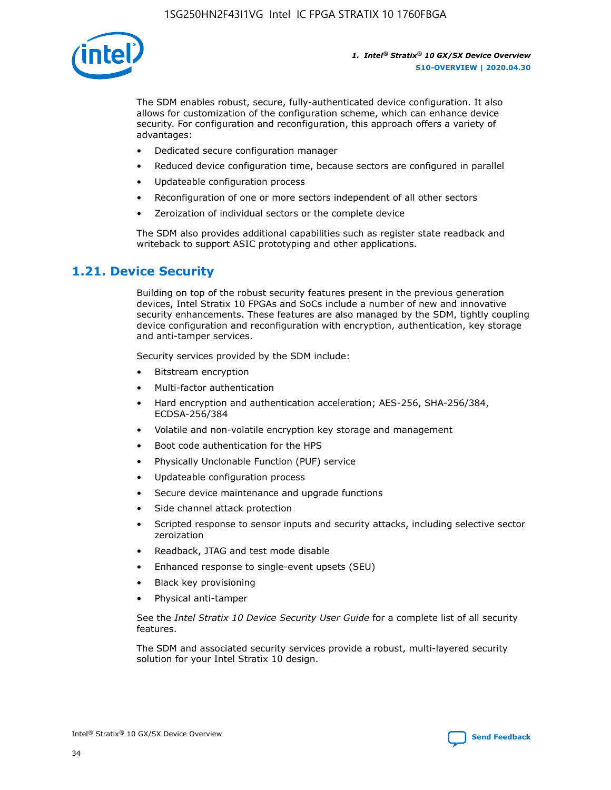

The SDM enables robust, secure, fully-authenticated device configuration. It also allows for customization of the configuration scheme, which can enhance device security. For configuration and reconfiguration, this approach offers a variety of advantages:

- Dedicated secure configuration manager
- Reduced device configuration time, because sectors are configured in parallel
- Updateable configuration process
- Reconfiguration of one or more sectors independent of all other sectors
- Zeroization of individual sectors or the complete device

The SDM also provides additional capabilities such as register state readback and writeback to support ASIC prototyping and other applications.

### **1.21. Device Security**

Building on top of the robust security features present in the previous generation devices, Intel Stratix 10 FPGAs and SoCs include a number of new and innovative security enhancements. These features are also managed by the SDM, tightly coupling device configuration and reconfiguration with encryption, authentication, key storage and anti-tamper services.

Security services provided by the SDM include:

- Bitstream encryption
- Multi-factor authentication
- Hard encryption and authentication acceleration; AES-256, SHA-256/384, ECDSA-256/384
- Volatile and non-volatile encryption key storage and management
- Boot code authentication for the HPS
- Physically Unclonable Function (PUF) service
- Updateable configuration process
- Secure device maintenance and upgrade functions
- Side channel attack protection
- Scripted response to sensor inputs and security attacks, including selective sector zeroization
- Readback, JTAG and test mode disable
- Enhanced response to single-event upsets (SEU)
- Black key provisioning
- Physical anti-tamper

See the *Intel Stratix 10 Device Security User Guide* for a complete list of all security features.

The SDM and associated security services provide a robust, multi-layered security solution for your Intel Stratix 10 design.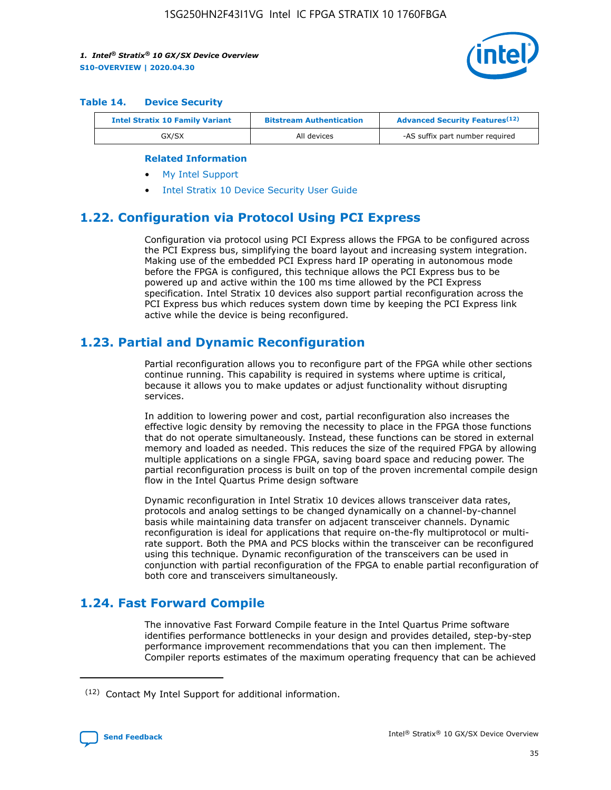

#### **Table 14. Device Security**

| <b>Intel Stratix 10 Family Variant</b> | <b>Bitstream Authentication</b> | <b>Advanced Security Features</b> <sup>(12)</sup> |
|----------------------------------------|---------------------------------|---------------------------------------------------|
| GX/SX                                  | All devices                     | -AS suffix part number required                   |

#### **Related Information**

- [My Intel Support](https://www.intel.com/content/www/us/en/programmable/my-intel/mal-home.html)
- [Intel Stratix 10 Device Security User Guide](https://www.intel.com/content/www/us/en/programmable/documentation/ndq1483601370898.html#wcd1483611014402)

### **1.22. Configuration via Protocol Using PCI Express**

Configuration via protocol using PCI Express allows the FPGA to be configured across the PCI Express bus, simplifying the board layout and increasing system integration. Making use of the embedded PCI Express hard IP operating in autonomous mode before the FPGA is configured, this technique allows the PCI Express bus to be powered up and active within the 100 ms time allowed by the PCI Express specification. Intel Stratix 10 devices also support partial reconfiguration across the PCI Express bus which reduces system down time by keeping the PCI Express link active while the device is being reconfigured.

### **1.23. Partial and Dynamic Reconfiguration**

Partial reconfiguration allows you to reconfigure part of the FPGA while other sections continue running. This capability is required in systems where uptime is critical, because it allows you to make updates or adjust functionality without disrupting services.

In addition to lowering power and cost, partial reconfiguration also increases the effective logic density by removing the necessity to place in the FPGA those functions that do not operate simultaneously. Instead, these functions can be stored in external memory and loaded as needed. This reduces the size of the required FPGA by allowing multiple applications on a single FPGA, saving board space and reducing power. The partial reconfiguration process is built on top of the proven incremental compile design flow in the Intel Quartus Prime design software

Dynamic reconfiguration in Intel Stratix 10 devices allows transceiver data rates, protocols and analog settings to be changed dynamically on a channel-by-channel basis while maintaining data transfer on adjacent transceiver channels. Dynamic reconfiguration is ideal for applications that require on-the-fly multiprotocol or multirate support. Both the PMA and PCS blocks within the transceiver can be reconfigured using this technique. Dynamic reconfiguration of the transceivers can be used in conjunction with partial reconfiguration of the FPGA to enable partial reconfiguration of both core and transceivers simultaneously.

### **1.24. Fast Forward Compile**

The innovative Fast Forward Compile feature in the Intel Quartus Prime software identifies performance bottlenecks in your design and provides detailed, step-by-step performance improvement recommendations that you can then implement. The Compiler reports estimates of the maximum operating frequency that can be achieved

<sup>(12)</sup> Contact My Intel Support for additional information.

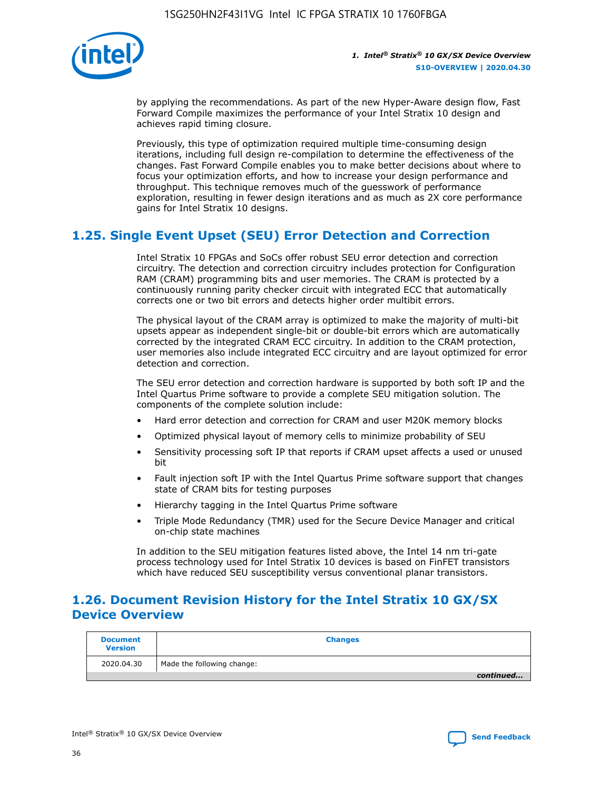

by applying the recommendations. As part of the new Hyper-Aware design flow, Fast Forward Compile maximizes the performance of your Intel Stratix 10 design and achieves rapid timing closure.

Previously, this type of optimization required multiple time-consuming design iterations, including full design re-compilation to determine the effectiveness of the changes. Fast Forward Compile enables you to make better decisions about where to focus your optimization efforts, and how to increase your design performance and throughput. This technique removes much of the guesswork of performance exploration, resulting in fewer design iterations and as much as 2X core performance gains for Intel Stratix 10 designs.

### **1.25. Single Event Upset (SEU) Error Detection and Correction**

Intel Stratix 10 FPGAs and SoCs offer robust SEU error detection and correction circuitry. The detection and correction circuitry includes protection for Configuration RAM (CRAM) programming bits and user memories. The CRAM is protected by a continuously running parity checker circuit with integrated ECC that automatically corrects one or two bit errors and detects higher order multibit errors.

The physical layout of the CRAM array is optimized to make the majority of multi-bit upsets appear as independent single-bit or double-bit errors which are automatically corrected by the integrated CRAM ECC circuitry. In addition to the CRAM protection, user memories also include integrated ECC circuitry and are layout optimized for error detection and correction.

The SEU error detection and correction hardware is supported by both soft IP and the Intel Quartus Prime software to provide a complete SEU mitigation solution. The components of the complete solution include:

- Hard error detection and correction for CRAM and user M20K memory blocks
- Optimized physical layout of memory cells to minimize probability of SEU
- Sensitivity processing soft IP that reports if CRAM upset affects a used or unused bit
- Fault injection soft IP with the Intel Quartus Prime software support that changes state of CRAM bits for testing purposes
- Hierarchy tagging in the Intel Quartus Prime software
- Triple Mode Redundancy (TMR) used for the Secure Device Manager and critical on-chip state machines

In addition to the SEU mitigation features listed above, the Intel 14 nm tri-gate process technology used for Intel Stratix 10 devices is based on FinFET transistors which have reduced SEU susceptibility versus conventional planar transistors.

### **1.26. Document Revision History for the Intel Stratix 10 GX/SX Device Overview**

| <b>Document</b><br><b>Version</b> | <b>Changes</b>             |
|-----------------------------------|----------------------------|
| 2020.04.30                        | Made the following change: |
|                                   | continued                  |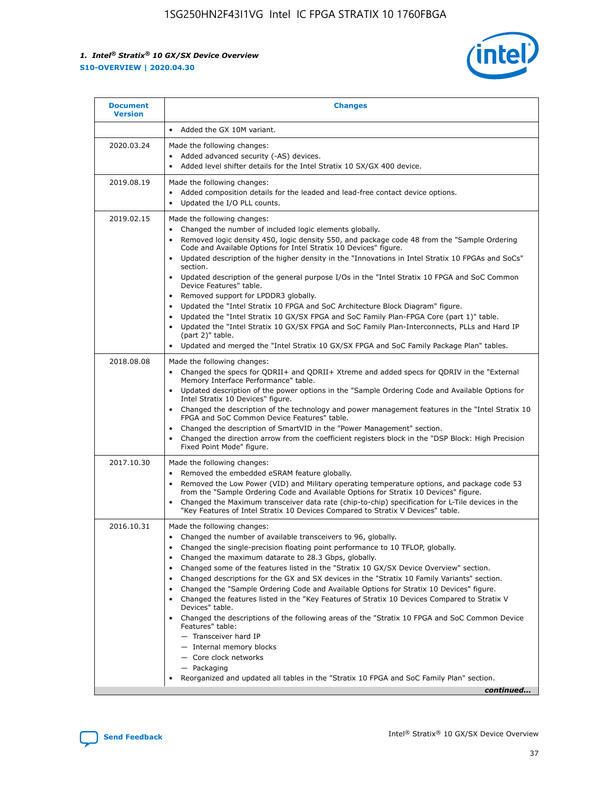

| <b>Document</b><br><b>Version</b> | <b>Changes</b>                                                                                                                                                                                                                                                                                                                                                                                                                                                                                                                                                                                                                                                                                                                                                                                                                                                                                                                                                                                      |
|-----------------------------------|-----------------------------------------------------------------------------------------------------------------------------------------------------------------------------------------------------------------------------------------------------------------------------------------------------------------------------------------------------------------------------------------------------------------------------------------------------------------------------------------------------------------------------------------------------------------------------------------------------------------------------------------------------------------------------------------------------------------------------------------------------------------------------------------------------------------------------------------------------------------------------------------------------------------------------------------------------------------------------------------------------|
|                                   | Added the GX 10M variant.                                                                                                                                                                                                                                                                                                                                                                                                                                                                                                                                                                                                                                                                                                                                                                                                                                                                                                                                                                           |
| 2020.03.24                        | Made the following changes:<br>Added advanced security (-AS) devices.<br>Added level shifter details for the Intel Stratix 10 SX/GX 400 device.                                                                                                                                                                                                                                                                                                                                                                                                                                                                                                                                                                                                                                                                                                                                                                                                                                                     |
| 2019.08.19                        | Made the following changes:<br>Added composition details for the leaded and lead-free contact device options.<br>$\bullet$<br>Updated the I/O PLL counts.                                                                                                                                                                                                                                                                                                                                                                                                                                                                                                                                                                                                                                                                                                                                                                                                                                           |
| 2019.02.15                        | Made the following changes:<br>Changed the number of included logic elements globally.<br>$\bullet$<br>Removed logic density 450, logic density 550, and package code 48 from the "Sample Ordering<br>$\bullet$<br>Code and Available Options for Intel Stratix 10 Devices" figure.<br>Updated description of the higher density in the "Innovations in Intel Stratix 10 FPGAs and SoCs"<br>section.<br>Updated description of the general purpose I/Os in the "Intel Stratix 10 FPGA and SoC Common<br>$\bullet$<br>Device Features" table.<br>Removed support for LPDDR3 globally.<br>Updated the "Intel Stratix 10 FPGA and SoC Architecture Block Diagram" figure.<br>$\bullet$<br>Updated the "Intel Stratix 10 GX/SX FPGA and SoC Family Plan-FPGA Core (part 1)" table.<br>٠<br>Updated the "Intel Stratix 10 GX/SX FPGA and SoC Family Plan-Interconnects, PLLs and Hard IP<br>(part 2)" table.<br>Updated and merged the "Intel Stratix 10 GX/SX FPGA and SoC Family Package Plan" tables. |
| 2018.08.08                        | Made the following changes:<br>Changed the specs for QDRII+ and QDRII+ Xtreme and added specs for QDRIV in the "External<br>$\bullet$<br>Memory Interface Performance" table.<br>Updated description of the power options in the "Sample Ordering Code and Available Options for<br>Intel Stratix 10 Devices" figure.<br>Changed the description of the technology and power management features in the "Intel Stratix 10<br>FPGA and SoC Common Device Features" table.<br>Changed the description of SmartVID in the "Power Management" section.<br>Changed the direction arrow from the coefficient registers block in the "DSP Block: High Precision<br>٠<br>Fixed Point Mode" figure.                                                                                                                                                                                                                                                                                                          |
| 2017.10.30                        | Made the following changes:<br>Removed the embedded eSRAM feature globally.<br>$\bullet$<br>Removed the Low Power (VID) and Military operating temperature options, and package code 53<br>٠<br>from the "Sample Ordering Code and Available Options for Stratix 10 Devices" figure.<br>Changed the Maximum transceiver data rate (chip-to-chip) specification for L-Tile devices in the<br>"Key Features of Intel Stratix 10 Devices Compared to Stratix V Devices" table.                                                                                                                                                                                                                                                                                                                                                                                                                                                                                                                         |
| 2016.10.31                        | Made the following changes:<br>• Changed the number of available transceivers to 96, globally.<br>Changed the single-precision floating point performance to 10 TFLOP, globally.<br>Changed the maximum datarate to 28.3 Gbps, globally.<br>٠<br>Changed some of the features listed in the "Stratix 10 GX/SX Device Overview" section.<br>٠<br>Changed descriptions for the GX and SX devices in the "Stratix 10 Family Variants" section.<br>٠<br>Changed the "Sample Ordering Code and Available Options for Stratix 10 Devices" figure.<br>Changed the features listed in the "Key Features of Stratix 10 Devices Compared to Stratix V<br>Devices" table.<br>Changed the descriptions of the following areas of the "Stratix 10 FPGA and SoC Common Device<br>Features" table:<br>- Transceiver hard IP<br>- Internal memory blocks<br>- Core clock networks<br>- Packaging<br>Reorganized and updated all tables in the "Stratix 10 FPGA and SoC Family Plan" section.                        |
|                                   | continued                                                                                                                                                                                                                                                                                                                                                                                                                                                                                                                                                                                                                                                                                                                                                                                                                                                                                                                                                                                           |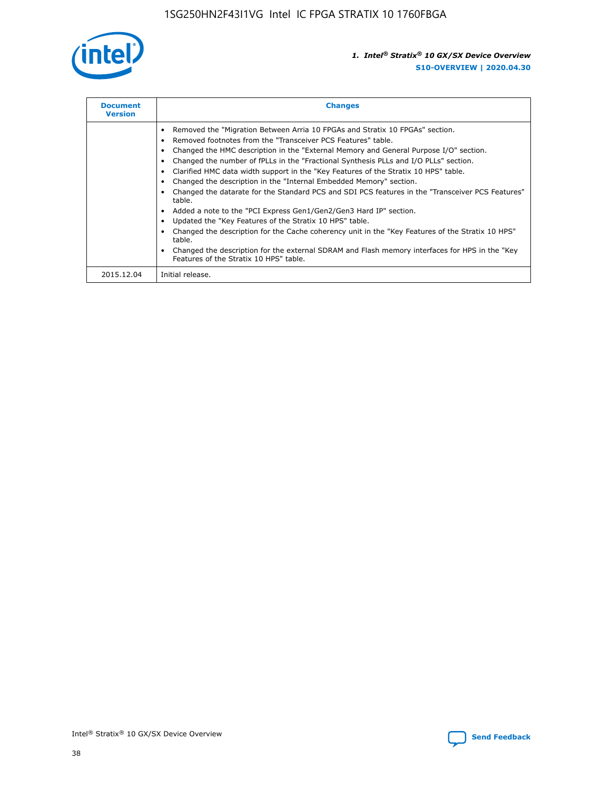

| <b>Document</b><br><b>Version</b> | <b>Changes</b>                                                                                                                                                                                                                                                                                                                                                                                                                                                                                                                                                                                                                                                                                                                                                                                                                                                                                                                                                                                     |
|-----------------------------------|----------------------------------------------------------------------------------------------------------------------------------------------------------------------------------------------------------------------------------------------------------------------------------------------------------------------------------------------------------------------------------------------------------------------------------------------------------------------------------------------------------------------------------------------------------------------------------------------------------------------------------------------------------------------------------------------------------------------------------------------------------------------------------------------------------------------------------------------------------------------------------------------------------------------------------------------------------------------------------------------------|
|                                   | Removed the "Migration Between Arria 10 FPGAs and Stratix 10 FPGAs" section.<br>Removed footnotes from the "Transceiver PCS Features" table.<br>Changed the HMC description in the "External Memory and General Purpose I/O" section.<br>Changed the number of fPLLs in the "Fractional Synthesis PLLs and I/O PLLs" section.<br>Clarified HMC data width support in the "Key Features of the Stratix 10 HPS" table.<br>Changed the description in the "Internal Embedded Memory" section.<br>Changed the datarate for the Standard PCS and SDI PCS features in the "Transceiver PCS Features"<br>table.<br>Added a note to the "PCI Express Gen1/Gen2/Gen3 Hard IP" section.<br>Updated the "Key Features of the Stratix 10 HPS" table.<br>Changed the description for the Cache coherency unit in the "Key Features of the Stratix 10 HPS"<br>table.<br>Changed the description for the external SDRAM and Flash memory interfaces for HPS in the "Key<br>Features of the Stratix 10 HPS" table. |
| 2015.12.04                        | Initial release.                                                                                                                                                                                                                                                                                                                                                                                                                                                                                                                                                                                                                                                                                                                                                                                                                                                                                                                                                                                   |